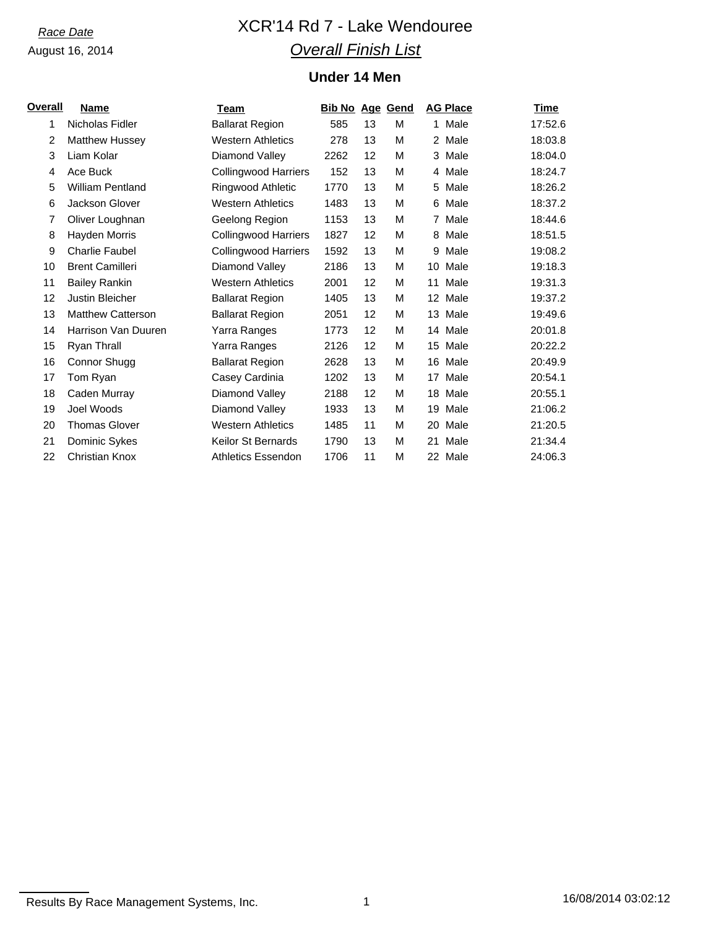# *Race Date* XCR'14 Rd 7 - Lake Wendouree *Overall Finish List*

## **Under 14 Men**

| <u>Overall</u> | <b>Name</b>              | Team                        | <b>Bib No Age Gend</b> |    |   |    | <b>AG Place</b> | Time    |
|----------------|--------------------------|-----------------------------|------------------------|----|---|----|-----------------|---------|
| 1              | Nicholas Fidler          | <b>Ballarat Region</b>      | 585                    | 13 | М |    | 1 Male          | 17:52.6 |
| 2              | <b>Matthew Hussey</b>    | <b>Western Athletics</b>    | 278                    | 13 | М |    | 2 Male          | 18:03.8 |
| 3              | Liam Kolar               | Diamond Valley              | 2262                   | 12 | м |    | 3 Male          | 18:04.0 |
| 4              | Ace Buck                 | <b>Collingwood Harriers</b> | 152                    | 13 | м |    | 4 Male          | 18:24.7 |
| 5              | <b>William Pentland</b>  | Ringwood Athletic           | 1770                   | 13 | м | 5  | Male            | 18:26.2 |
| 6              | Jackson Glover           | <b>Western Athletics</b>    | 1483                   | 13 | М |    | 6 Male          | 18:37.2 |
| 7              | Oliver Loughnan          | Geelong Region              | 1153                   | 13 | М |    | 7 Male          | 18:44.6 |
| 8              | Hayden Morris            | <b>Collingwood Harriers</b> | 1827                   | 12 | М |    | 8 Male          | 18:51.5 |
| 9              | <b>Charlie Faubel</b>    | <b>Collingwood Harriers</b> | 1592                   | 13 | м | 9  | Male            | 19:08.2 |
| 10             | <b>Brent Camilleri</b>   | Diamond Valley              | 2186                   | 13 | м |    | 10 Male         | 19:18.3 |
| 11             | <b>Bailey Rankin</b>     | <b>Western Athletics</b>    | 2001                   | 12 | М | 11 | Male            | 19:31.3 |
| 12             | Justin Bleicher          | <b>Ballarat Region</b>      | 1405                   | 13 | м |    | 12 Male         | 19:37.2 |
| 13             | <b>Matthew Catterson</b> | <b>Ballarat Region</b>      | 2051                   | 12 | м |    | 13 Male         | 19:49.6 |
| 14             | Harrison Van Duuren      | Yarra Ranges                | 1773                   | 12 | м |    | 14 Male         | 20:01.8 |
| 15             | Ryan Thrall              | Yarra Ranges                | 2126                   | 12 | м | 15 | Male            | 20:22.2 |
| 16             | Connor Shugg             | <b>Ballarat Region</b>      | 2628                   | 13 | М | 16 | Male            | 20:49.9 |
| 17             | Tom Ryan                 | Casey Cardinia              | 1202                   | 13 | м | 17 | Male            | 20:54.1 |
| 18             | Caden Murray             | Diamond Valley              | 2188                   | 12 | м |    | 18 Male         | 20:55.1 |
| 19             | Joel Woods               | Diamond Valley              | 1933                   | 13 | м | 19 | Male            | 21:06.2 |
| 20             | <b>Thomas Glover</b>     | <b>Western Athletics</b>    | 1485                   | 11 | м | 20 | Male            | 21:20.5 |
| 21             | Dominic Sykes            | <b>Keilor St Bernards</b>   | 1790                   | 13 | М | 21 | Male            | 21:34.4 |
| 22             | <b>Christian Knox</b>    | <b>Athletics Essendon</b>   | 1706                   | 11 | M |    | 22 Male         | 24:06.3 |

Results By Race Management Systems, Inc. 1 1 16/08/2014 03:02:12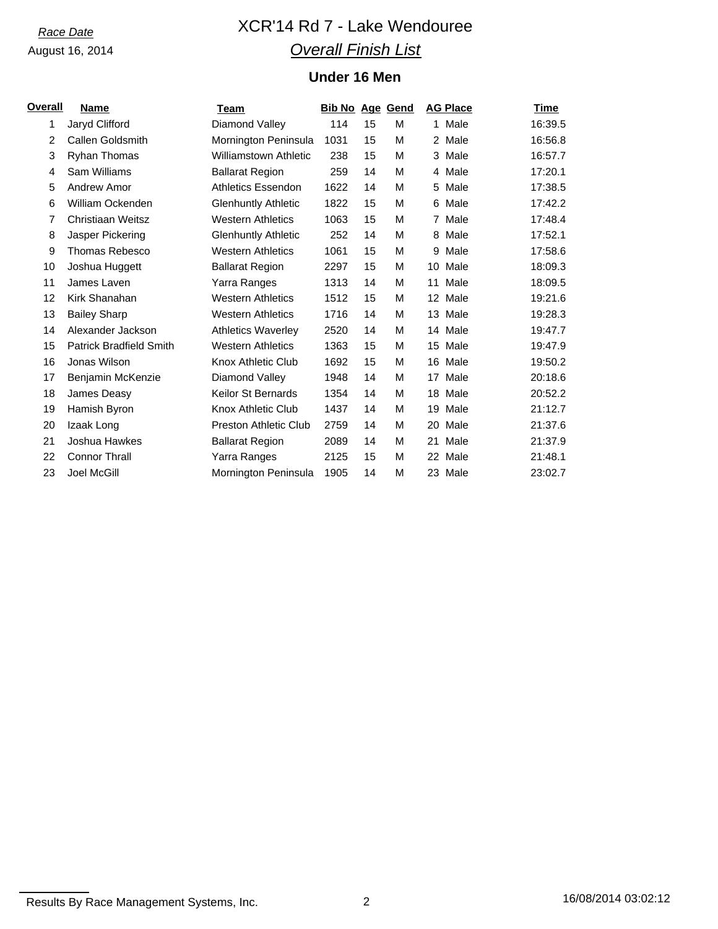# *Race Date* XCR'14 Rd 7 - Lake Wendouree *Overall Finish List*

## **Under 16 Men**

| Overall | Name                           | Team                         | <b>Bib No Age Gend</b> |    |   |    | <b>AG Place</b> | <b>Time</b> |
|---------|--------------------------------|------------------------------|------------------------|----|---|----|-----------------|-------------|
| 1       | Jaryd Clifford                 | Diamond Valley               | 114                    | 15 | M |    | 1 Male          | 16:39.5     |
| 2       | Callen Goldsmith               | Mornington Peninsula         | 1031                   | 15 | м |    | 2 Male          | 16:56.8     |
| 3       | <b>Ryhan Thomas</b>            | <b>Williamstown Athletic</b> | 238                    | 15 | м |    | 3 Male          | 16:57.7     |
| 4       | Sam Williams                   | <b>Ballarat Region</b>       | 259                    | 14 | м |    | 4 Male          | 17:20.1     |
| 5       | Andrew Amor                    | <b>Athletics Essendon</b>    | 1622                   | 14 | М |    | 5 Male          | 17:38.5     |
| 6       | William Ockenden               | <b>Glenhuntly Athletic</b>   | 1822                   | 15 | М | 6  | Male            | 17:42.2     |
| 7       | Christiaan Weitsz              | <b>Western Athletics</b>     | 1063                   | 15 | М |    | 7 Male          | 17:48.4     |
| 8       | Jasper Pickering               | <b>Glenhuntly Athletic</b>   | 252                    | 14 | М | 8  | Male            | 17:52.1     |
| 9       | <b>Thomas Rebesco</b>          | <b>Western Athletics</b>     | 1061                   | 15 | м | 9  | Male            | 17:58.6     |
| 10      | Joshua Huggett                 | <b>Ballarat Region</b>       | 2297                   | 15 | м | 10 | Male            | 18:09.3     |
| 11      | James Laven                    | Yarra Ranges                 | 1313                   | 14 | м | 11 | Male            | 18:09.5     |
| 12      | Kirk Shanahan                  | <b>Western Athletics</b>     | 1512                   | 15 | м |    | 12 Male         | 19:21.6     |
| 13      | <b>Bailey Sharp</b>            | <b>Western Athletics</b>     | 1716                   | 14 | м |    | 13 Male         | 19:28.3     |
| 14      | Alexander Jackson              | <b>Athletics Waverley</b>    | 2520                   | 14 | М |    | 14 Male         | 19:47.7     |
| 15      | <b>Patrick Bradfield Smith</b> | <b>Western Athletics</b>     | 1363                   | 15 | М | 15 | Male            | 19:47.9     |
| 16      | Jonas Wilson                   | Knox Athletic Club           | 1692                   | 15 | М |    | 16 Male         | 19:50.2     |
| 17      | Benjamin McKenzie              | Diamond Valley               | 1948                   | 14 | М | 17 | Male            | 20:18.6     |
| 18      | James Deasy                    | <b>Keilor St Bernards</b>    | 1354                   | 14 | м |    | 18 Male         | 20:52.2     |
| 19      | Hamish Byron                   | Knox Athletic Club           | 1437                   | 14 | м |    | 19 Male         | 21:12.7     |
| 20      | Izaak Long                     | <b>Preston Athletic Club</b> | 2759                   | 14 | м |    | 20 Male         | 21:37.6     |
| 21      | Joshua Hawkes                  | <b>Ballarat Region</b>       | 2089                   | 14 | м | 21 | Male            | 21:37.9     |
| 22      | <b>Connor Thrall</b>           | Yarra Ranges                 | 2125                   | 15 | м |    | 22 Male         | 21:48.1     |
| 23      | Joel McGill                    | Mornington Peninsula         | 1905                   | 14 | М |    | 23 Male         | 23:02.7     |

Results By Race Management Systems, Inc. 2 2 2 16/08/2014 03:02:12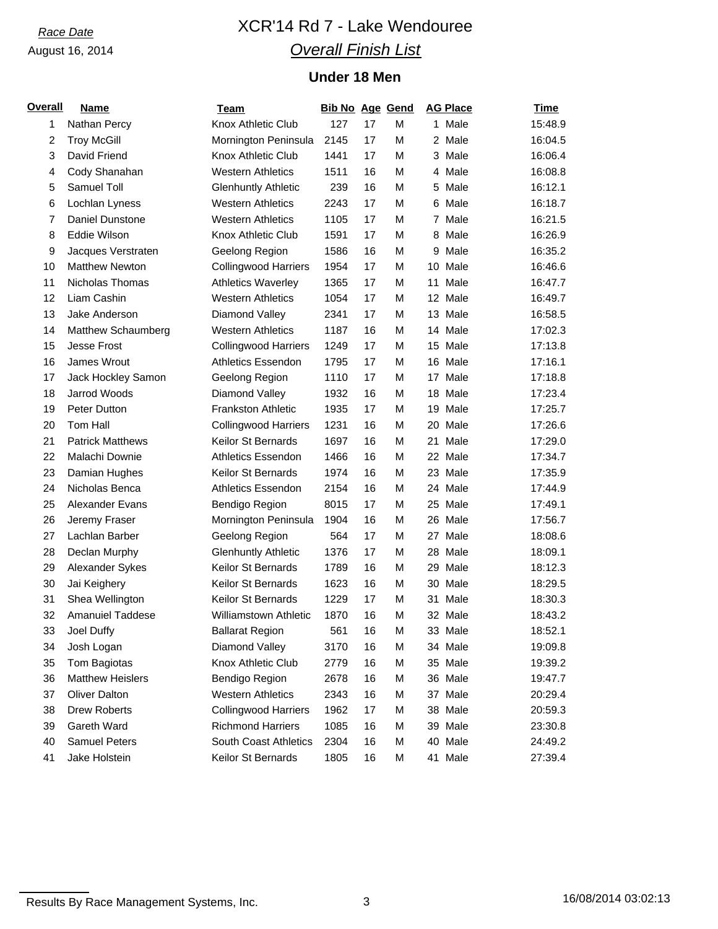# *Race Date* XCR'14 Rd 7 - Lake Wendouree *Overall Finish List*

## **Under 18 Men**

| <b>Overall</b> | <b>Name</b>             | Team                         | <b>Bib No Age Gend</b> |    |   | <b>AG Place</b> | <b>Time</b> |
|----------------|-------------------------|------------------------------|------------------------|----|---|-----------------|-------------|
| 1              | Nathan Percy            | Knox Athletic Club           | 127                    | 17 | M | 1 Male          | 15:48.9     |
| $\overline{c}$ | <b>Troy McGill</b>      | Mornington Peninsula         | 2145                   | 17 | M | 2 Male          | 16:04.5     |
| 3              | David Friend            | Knox Athletic Club           | 1441                   | 17 | M | 3 Male          | 16:06.4     |
| 4              | Cody Shanahan           | <b>Western Athletics</b>     | 1511                   | 16 | M | 4 Male          | 16:08.8     |
| 5              | Samuel Toll             | <b>Glenhuntly Athletic</b>   | 239                    | 16 | M | 5 Male          | 16:12.1     |
| 6              | Lochlan Lyness          | <b>Western Athletics</b>     | 2243                   | 17 | M | Male<br>6       | 16:18.7     |
| $\overline{7}$ | Daniel Dunstone         | <b>Western Athletics</b>     | 1105                   | 17 | M | 7 Male          | 16:21.5     |
| 8              | Eddie Wilson            | Knox Athletic Club           | 1591                   | 17 | M | 8 Male          | 16:26.9     |
| 9              | Jacques Verstraten      | Geelong Region               | 1586                   | 16 | M | Male<br>9       | 16:35.2     |
| 10             | <b>Matthew Newton</b>   | <b>Collingwood Harriers</b>  | 1954                   | 17 | M | Male<br>10      | 16:46.6     |
| 11             | Nicholas Thomas         | <b>Athletics Waverley</b>    | 1365                   | 17 | M | 11<br>Male      | 16:47.7     |
| 12             | Liam Cashin             | <b>Western Athletics</b>     | 1054                   | 17 | M | 12 Male         | 16:49.7     |
| 13             | Jake Anderson           | Diamond Valley               | 2341                   | 17 | M | 13 Male         | 16:58.5     |
| 14             | Matthew Schaumberg      | <b>Western Athletics</b>     | 1187                   | 16 | M | 14 Male         | 17:02.3     |
| 15             | <b>Jesse Frost</b>      | <b>Collingwood Harriers</b>  | 1249                   | 17 | M | 15<br>Male      | 17:13.8     |
| 16             | James Wrout             | <b>Athletics Essendon</b>    | 1795                   | 17 | M | 16 Male         | 17:16.1     |
| 17             | Jack Hockley Samon      | Geelong Region               | 1110                   | 17 | M | 17 Male         | 17:18.8     |
| 18             | Jarrod Woods            | Diamond Valley               | 1932                   | 16 | M | 18 Male         | 17:23.4     |
| 19             | Peter Dutton            | <b>Frankston Athletic</b>    | 1935                   | 17 | M | 19<br>Male      | 17:25.7     |
| 20             | Tom Hall                | <b>Collingwood Harriers</b>  | 1231                   | 16 | M | Male<br>20      | 17:26.6     |
| 21             | <b>Patrick Matthews</b> | Keilor St Bernards           | 1697                   | 16 | M | Male<br>21      | 17:29.0     |
| 22             | Malachi Downie          | <b>Athletics Essendon</b>    | 1466                   | 16 | M | 22 Male         | 17:34.7     |
| 23             | Damian Hughes           | Keilor St Bernards           | 1974                   | 16 | M | 23 Male         | 17:35.9     |
| 24             | Nicholas Benca          | <b>Athletics Essendon</b>    | 2154                   | 16 | M | 24 Male         | 17:44.9     |
| 25             | Alexander Evans         | Bendigo Region               | 8015                   | 17 | M | 25 Male         | 17:49.1     |
| 26             | Jeremy Fraser           | Mornington Peninsula         | 1904                   | 16 | M | 26 Male         | 17:56.7     |
| 27             | Lachlan Barber          | Geelong Region               | 564                    | 17 | M | 27 Male         | 18:08.6     |
| 28             | Declan Murphy           | <b>Glenhuntly Athletic</b>   | 1376                   | 17 | M | 28 Male         | 18:09.1     |
| 29             | Alexander Sykes         | Keilor St Bernards           | 1789                   | 16 | M | 29 Male         | 18:12.3     |
| 30             | Jai Keighery            | Keilor St Bernards           | 1623                   | 16 | M | 30 Male         | 18:29.5     |
| 31             | Shea Wellington         | Keilor St Bernards           | 1229                   | 17 | M | Male<br>31      | 18:30.3     |
| 32             | <b>Amanuiel Taddese</b> | <b>Williamstown Athletic</b> | 1870                   | 16 | M | 32 Male         | 18:43.2     |
| 33             | Joel Duffy              | <b>Ballarat Region</b>       | 561                    | 16 | M | 33 Male         | 18:52.1     |
| 34             | Josh Logan              | Diamond Valley               | 3170                   | 16 | M | 34 Male         | 19:09.8     |
| 35             | Tom Bagiotas            | Knox Athletic Club           | 2779                   | 16 | M | 35 Male         | 19:39.2     |
| 36             | <b>Matthew Heislers</b> | Bendigo Region               | 2678                   | 16 | M | 36 Male         | 19:47.7     |
| 37             | <b>Oliver Dalton</b>    | <b>Western Athletics</b>     | 2343                   | 16 | М | 37 Male         | 20:29.4     |
| 38             | <b>Drew Roberts</b>     | <b>Collingwood Harriers</b>  | 1962                   | 17 | M | 38 Male         | 20:59.3     |
| 39             | Gareth Ward             | <b>Richmond Harriers</b>     | 1085                   | 16 | M | 39 Male         | 23:30.8     |
| 40             | <b>Samuel Peters</b>    | South Coast Athletics        | 2304                   | 16 | M | 40 Male         | 24:49.2     |
| 41             | Jake Holstein           | Keilor St Bernards           | 1805                   | 16 | M | 41 Male         | 27:39.4     |

Results By Race Management Systems, Inc. 3 16/08/2014 03:02:13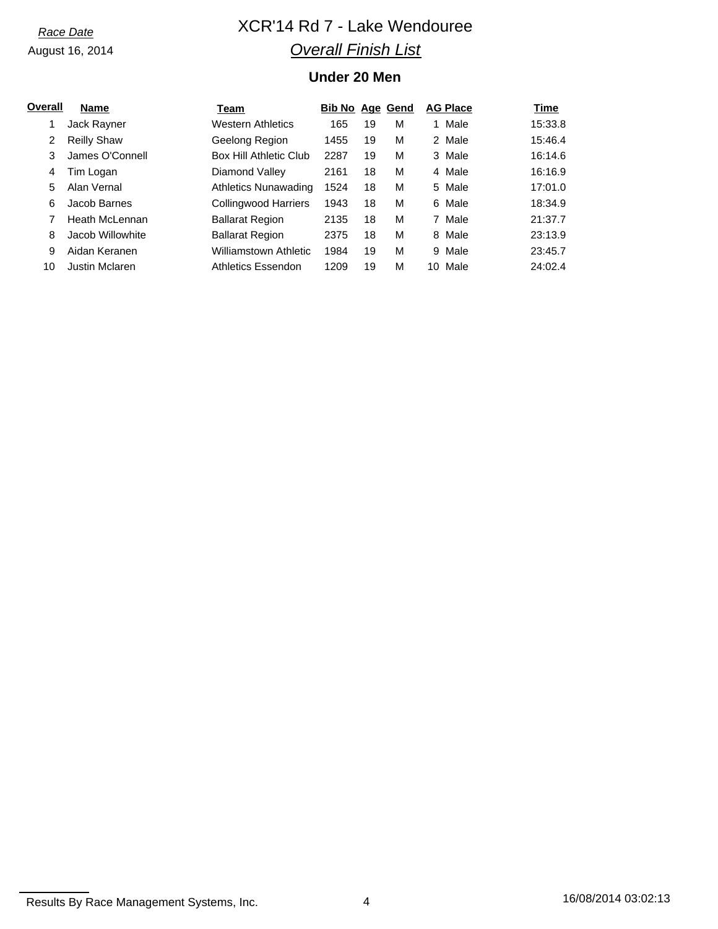# *Race Date* XCR'14 Rd 7 - Lake Wendouree *Overall Finish List*

## **Under 20 Men**

| Overall | <b>Name</b>        | Team                     | <b>Bib No Age Gend</b> |    |   | <b>AG Place</b> | Time    |
|---------|--------------------|--------------------------|------------------------|----|---|-----------------|---------|
| 1       | Jack Rayner        | <b>Western Athletics</b> | 165                    | 19 | M | 1 Male          | 15:33.8 |
| 2       | <b>Reilly Shaw</b> | Geelong Region           | 1455                   | 19 | M | 2 Male          | 15:46.4 |
| 3       | James O'Connell    | Box Hill Athletic Club   | 2287                   | 19 | м | 3 Male          | 16:14.6 |
| 4       | Tim Logan          | Diamond Valley           | 2161                   | 18 | М | 4 Male          | 16:16.9 |
| 5       | Alan Vernal        | Athletics Nunawading     | 1524                   | 18 | M | 5 Male          | 17:01.0 |
| 6       | Jacob Barnes       | Collingwood Harriers     | 1943                   | 18 | M | 6 Male          | 18:34.9 |
|         | Heath McLennan     | <b>Ballarat Region</b>   | 2135                   | 18 | М | 7 Male          | 21:37.7 |
| 8       | Jacob Willowhite   | <b>Ballarat Region</b>   | 2375                   | 18 | М | 8 Male          | 23:13.9 |
| 9       | Aidan Keranen      | Williamstown Athletic    | 1984                   | 19 | M | 9 Male          | 23:45.7 |
| 10      | Justin Mclaren     | Athletics Essendon       | 1209                   | 19 | М | 10 Male         | 24:02.4 |

Results By Race Management Systems, Inc. 4 16/08/2014 03:02:13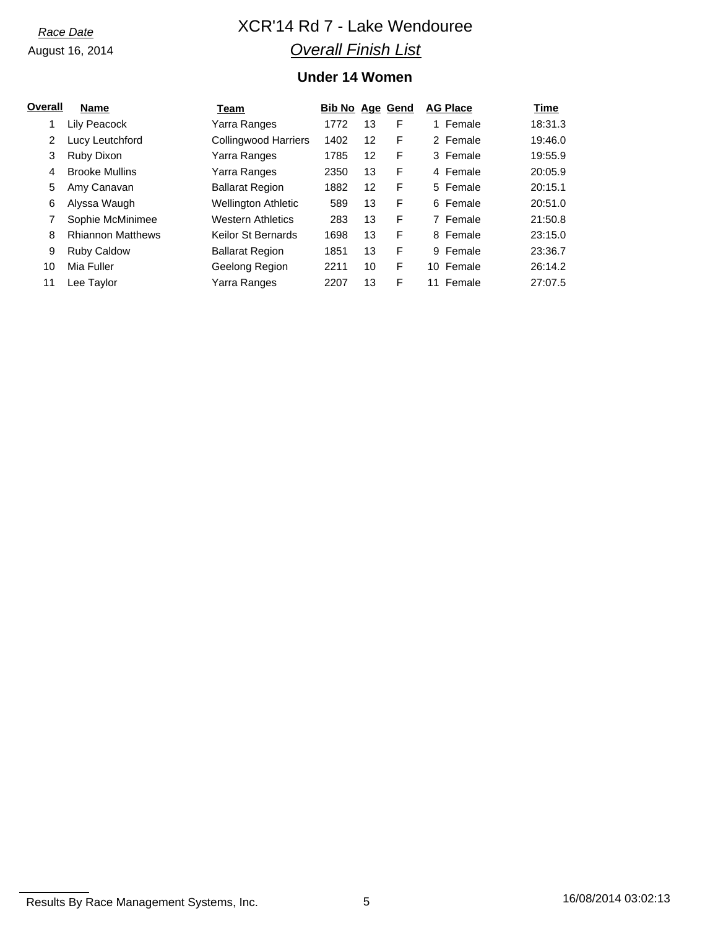# *Race Date* XCR'14 Rd 7 - Lake Wendouree *Overall Finish List*

## **Under 14 Women**

| Overall | <b>Name</b>              | Team                        | <b>Bib No Age Gend</b> |    |   | <b>AG Place</b> | Time    |
|---------|--------------------------|-----------------------------|------------------------|----|---|-----------------|---------|
|         | Lily Peacock             | Yarra Ranges                | 1772                   | 13 | F | 1 Female        | 18:31.3 |
| 2       | Lucy Leutchford          | <b>Collingwood Harriers</b> | 1402                   | 12 | F | 2 Female        | 19:46.0 |
| 3       | Ruby Dixon               | Yarra Ranges                | 1785                   | 12 | F | 3 Female        | 19:55.9 |
| 4       | <b>Brooke Mullins</b>    | Yarra Ranges                | 2350                   | 13 | F | 4 Female        | 20:05.9 |
| 5       | Amy Canavan              | <b>Ballarat Region</b>      | 1882                   | 12 | F | 5 Female        | 20:15.1 |
| 6       | Alyssa Waugh             | <b>Wellington Athletic</b>  | 589                    | 13 | F | 6 Female        | 20:51.0 |
|         | Sophie McMinimee         | <b>Western Athletics</b>    | 283                    | 13 | F | 7 Female        | 21:50.8 |
| 8       | <b>Rhiannon Matthews</b> | Keilor St Bernards          | 1698                   | 13 | F | 8 Female        | 23:15.0 |
| 9       | <b>Ruby Caldow</b>       | <b>Ballarat Region</b>      | 1851                   | 13 | F | 9 Female        | 23:36.7 |
| 10      | Mia Fuller               | Geelong Region              | 2211                   | 10 | F | 10 Female       | 26:14.2 |
| 11      | Lee Taylor               | Yarra Ranges                | 2207                   | 13 | F | 11 Female       | 27:07.5 |

Results By Race Management Systems, Inc. 6 16/08/2014 03:02:13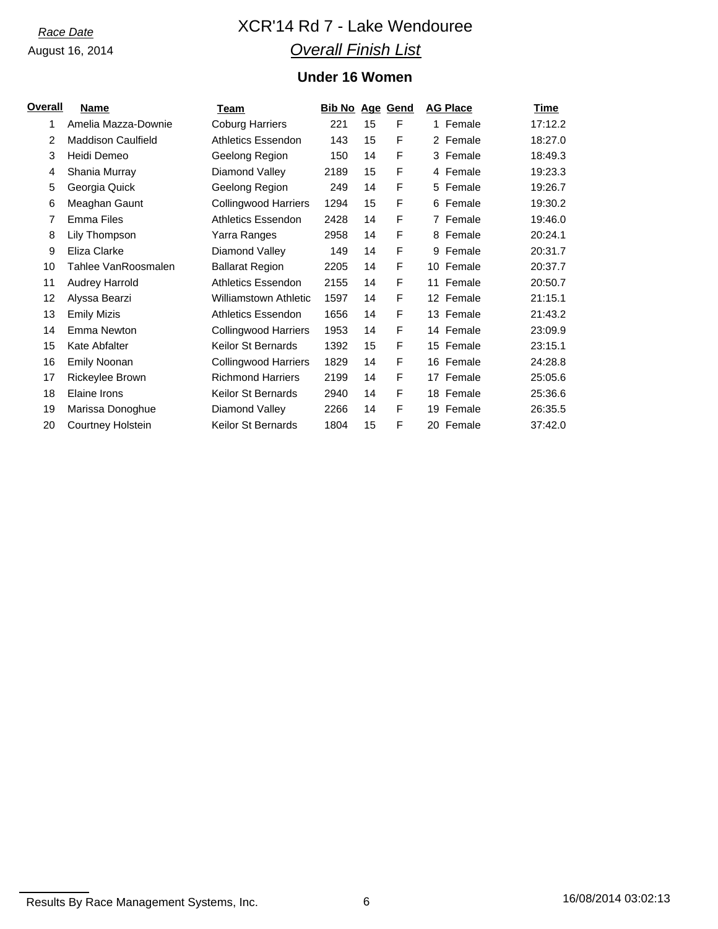# *Race Date* XCR'14 Rd 7 - Lake Wendouree *Overall Finish List*

## **Under 16 Women**

| <u>Overall</u> | Name                      | Team                         | <b>Bib No Age Gend</b> |    |   | <b>AG Place</b> | Time    |
|----------------|---------------------------|------------------------------|------------------------|----|---|-----------------|---------|
| 1              | Amelia Mazza-Downie       | <b>Coburg Harriers</b>       | 221                    | 15 | F | 1 Female        | 17:12.2 |
| 2              | <b>Maddison Caulfield</b> | <b>Athletics Essendon</b>    | 143                    | 15 | F | 2 Female        | 18:27.0 |
| 3              | Heidi Demeo               | Geelong Region               | 150                    | 14 | F | 3 Female        | 18:49.3 |
| 4              | Shania Murray             | Diamond Valley               | 2189                   | 15 | F | 4 Female        | 19:23.3 |
| 5              | Georgia Quick             | Geelong Region               | 249                    | 14 | F | 5 Female        | 19:26.7 |
| 6              | Meaghan Gaunt             | <b>Collingwood Harriers</b>  | 1294                   | 15 | F | 6 Female        | 19:30.2 |
| 7              | <b>Emma Files</b>         | Athletics Essendon           | 2428                   | 14 | F | 7 Female        | 19:46.0 |
| 8              | Lily Thompson             | Yarra Ranges                 | 2958                   | 14 | F | 8 Female        | 20:24.1 |
| 9              | Eliza Clarke              | Diamond Valley               | 149                    | 14 | F | 9 Female        | 20:31.7 |
| 10             | Tahlee VanRoosmalen       | <b>Ballarat Region</b>       | 2205                   | 14 | F | 10 Female       | 20:37.7 |
| 11             | <b>Audrey Harrold</b>     | Athletics Essendon           | 2155                   | 14 | F | 11 Female       | 20:50.7 |
| 12             | Alyssa Bearzi             | <b>Williamstown Athletic</b> | 1597                   | 14 | F | 12 Female       | 21:15.1 |
| 13             | <b>Emily Mizis</b>        | <b>Athletics Essendon</b>    | 1656                   | 14 | F | 13 Female       | 21:43.2 |
| 14             | Emma Newton               | <b>Collingwood Harriers</b>  | 1953                   | 14 | F | 14 Female       | 23:09.9 |
| 15             | Kate Abfalter             | <b>Keilor St Bernards</b>    | 1392                   | 15 | F | 15 Female       | 23:15.1 |
| 16             | <b>Emily Noonan</b>       | <b>Collingwood Harriers</b>  | 1829                   | 14 | F | 16 Female       | 24:28.8 |
| 17             | Rickeylee Brown           | <b>Richmond Harriers</b>     | 2199                   | 14 | F | 17 Female       | 25:05.6 |
| 18             | Elaine Irons              | <b>Keilor St Bernards</b>    | 2940                   | 14 | F | 18 Female       | 25:36.6 |
| 19             | Marissa Donoghue          | Diamond Valley               | 2266                   | 14 | F | 19 Female       | 26:35.5 |
| 20             | Courtney Holstein         | <b>Keilor St Bernards</b>    | 1804                   | 15 | F | 20 Female       | 37:42.0 |

Results By Race Management Systems, Inc. 6 16/08/2014 03:02:13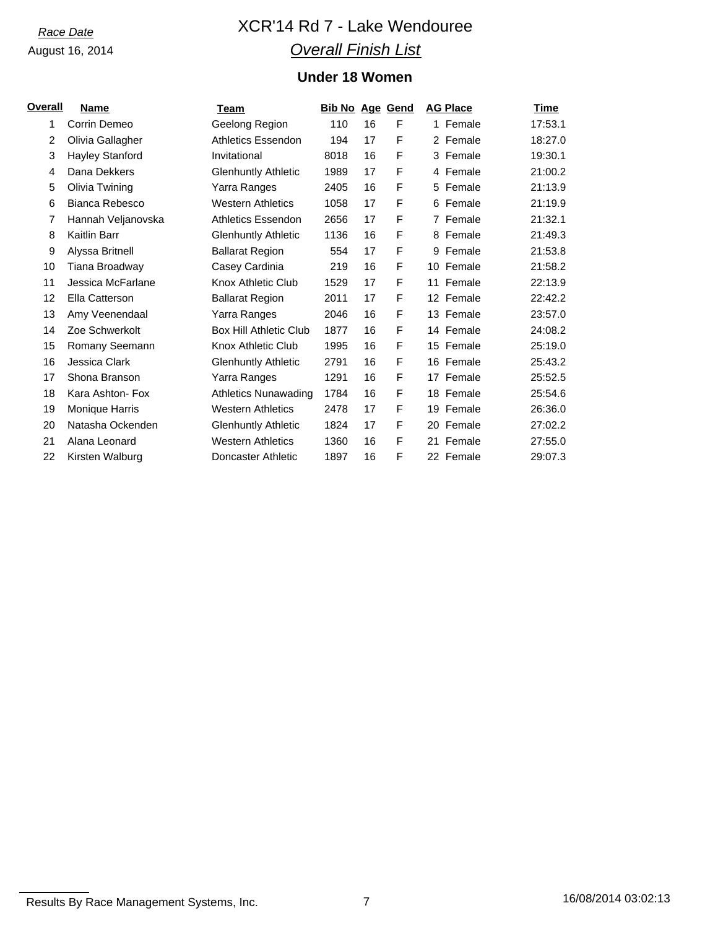# *Race Date* XCR'14 Rd 7 - Lake Wendouree *Overall Finish List*

## **Under 18 Women**

| Overall | <b>Name</b>           | Team                          | <b>Bib No Age Gend</b> |    |   | <b>AG Place</b> | Time    |
|---------|-----------------------|-------------------------------|------------------------|----|---|-----------------|---------|
| 1       | Corrin Demeo          | Geelong Region                | 110                    | 16 | F | 1 Female        | 17:53.1 |
| 2       | Olivia Gallagher      | Athletics Essendon            | 194                    | 17 | F | 2 Female        | 18:27.0 |
| 3       | Hayley Stanford       | Invitational                  | 8018                   | 16 | F | 3 Female        | 19:30.1 |
| 4       | Dana Dekkers          | <b>Glenhuntly Athletic</b>    | 1989                   | 17 | F | 4 Female        | 21:00.2 |
| 5       | Olivia Twining        | Yarra Ranges                  | 2405                   | 16 | F | 5 Female        | 21:13.9 |
| 6       | Bianca Rebesco        | <b>Western Athletics</b>      | 1058                   | 17 | F | 6 Female        | 21:19.9 |
| 7       | Hannah Veljanovska    | <b>Athletics Essendon</b>     | 2656                   | 17 | F | 7 Female        | 21:32.1 |
| 8       | Kaitlin Barr          | <b>Glenhuntly Athletic</b>    | 1136                   | 16 | F | 8 Female        | 21:49.3 |
| 9       | Alyssa Britnell       | <b>Ballarat Region</b>        | 554                    | 17 | F | Female<br>9     | 21:53.8 |
| 10      | Tiana Broadway        | Casey Cardinia                | 219                    | 16 | F | 10 Female       | 21:58.2 |
| 11      | Jessica McFarlane     | Knox Athletic Club            | 1529                   | 17 | F | 11 Female       | 22:13.9 |
| 12      | Ella Catterson        | <b>Ballarat Region</b>        | 2011                   | 17 | F | 12 Female       | 22:42.2 |
| 13      | Amy Veenendaal        | Yarra Ranges                  | 2046                   | 16 | F | 13 Female       | 23:57.0 |
| 14      | Zoe Schwerkolt        | <b>Box Hill Athletic Club</b> | 1877                   | 16 | F | 14 Female       | 24:08.2 |
| 15      | Romany Seemann        | Knox Athletic Club            | 1995                   | 16 | F | 15 Female       | 25:19.0 |
| 16      | Jessica Clark         | <b>Glenhuntly Athletic</b>    | 2791                   | 16 | F | 16 Female       | 25:43.2 |
| 17      | Shona Branson         | Yarra Ranges                  | 1291                   | 16 | F | 17 Female       | 25:52.5 |
| 18      | Kara Ashton- Fox      | <b>Athletics Nunawading</b>   | 1784                   | 16 | F | 18 Female       | 25:54.6 |
| 19      | <b>Monique Harris</b> | <b>Western Athletics</b>      | 2478                   | 17 | F | 19 Female       | 26:36.0 |
| 20      | Natasha Ockenden      | <b>Glenhuntly Athletic</b>    | 1824                   | 17 | F | 20 Female       | 27:02.2 |
| 21      | Alana Leonard         | <b>Western Athletics</b>      | 1360                   | 16 | F | 21 Female       | 27:55.0 |
| 22      | Kirsten Walburg       | Doncaster Athletic            | 1897                   | 16 | F | 22 Female       | 29:07.3 |

Results By Race Management Systems, Inc. 7 16/08/2014 03:02:13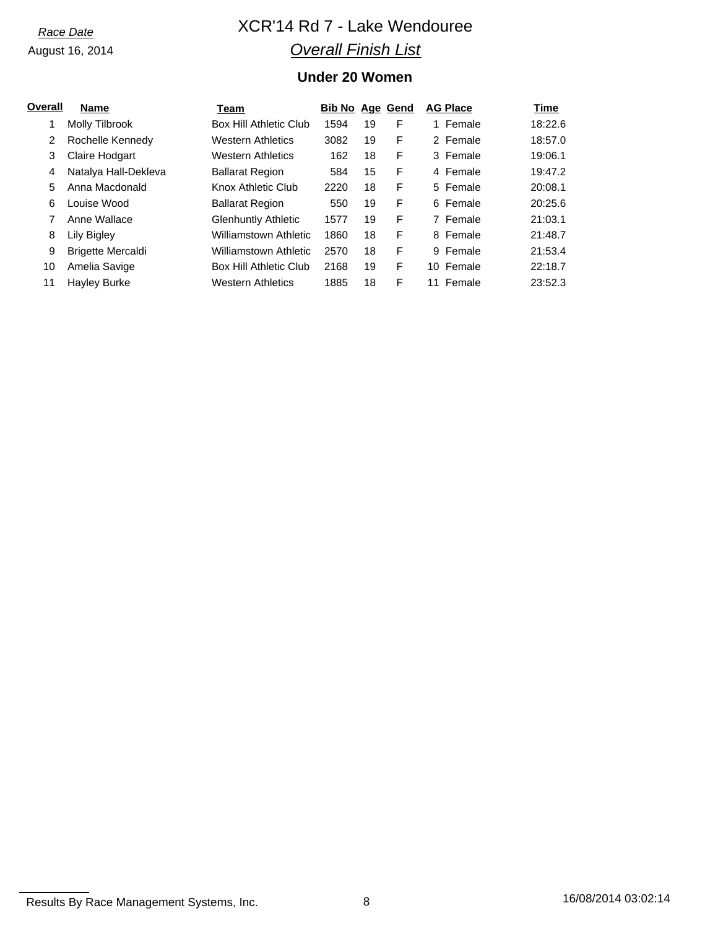# *Race Date* XCR'14 Rd 7 - Lake Wendouree *Overall Finish List*

## **Under 20 Women**

| Overall | <b>Name</b>              | Team                       | <b>Bib No Age Gend</b> |    |   | <b>AG Place</b> | Time    |
|---------|--------------------------|----------------------------|------------------------|----|---|-----------------|---------|
|         | Molly Tilbrook           | Box Hill Athletic Club     | 1594                   | 19 | F | 1 Female        | 18:22.6 |
| 2       | Rochelle Kennedy         | <b>Western Athletics</b>   | 3082                   | 19 | F | 2 Female        | 18:57.0 |
| 3       | <b>Claire Hodgart</b>    | <b>Western Athletics</b>   | 162                    | 18 | F | 3 Female        | 19:06.1 |
| 4       | Natalya Hall-Dekleva     | <b>Ballarat Region</b>     | 584                    | 15 | F | 4 Female        | 19:47.2 |
| 5       | Anna Macdonald           | Knox Athletic Club         | 2220                   | 18 | F | 5 Female        | 20:08.1 |
| 6       | Louise Wood              | <b>Ballarat Region</b>     | 550                    | 19 | F | 6 Female        | 20:25.6 |
|         | Anne Wallace             | <b>Glenhuntly Athletic</b> | 1577                   | 19 | F | 7 Female        | 21:03.1 |
| 8       | Lily Bigley              | Williamstown Athletic      | 1860                   | 18 | F | 8 Female        | 21:48.7 |
| 9       | <b>Brigette Mercaldi</b> | Williamstown Athletic      | 2570                   | 18 | F | Female<br>9     | 21:53.4 |
| 10      | Amelia Savige            | Box Hill Athletic Club     | 2168                   | 19 | F | 10 Female       | 22:18.7 |
| 11      | <b>Hayley Burke</b>      | <b>Western Athletics</b>   | 1885                   | 18 | F | Female<br>11    | 23:52.3 |

Results By Race Management Systems, Inc. 28 16/08/2014 03:02:14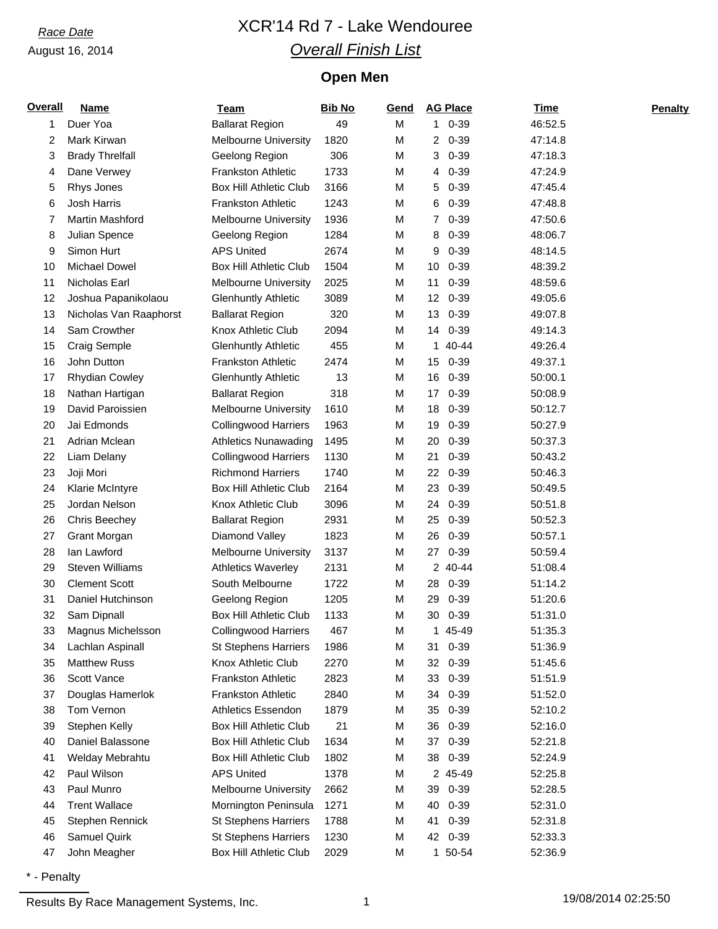# *Race Date* XCR'14 Rd 7 - Lake Wendouree *Overall Finish List*

## **Open Men**

| <b>Overall</b> | <b>Name</b>            | <b>Team</b>                   | <b>Bib No</b> | Gend | <b>AG Place</b>              | <b>Time</b> | <b>Penalty</b> |
|----------------|------------------------|-------------------------------|---------------|------|------------------------------|-------------|----------------|
| 1              | Duer Yoa               | <b>Ballarat Region</b>        | 49            | M    | $10-39$                      | 46:52.5     |                |
| 2              | Mark Kirwan            | <b>Melbourne University</b>   | 1820          | M    | $20 - 39$                    | 47:14.8     |                |
| 3              | <b>Brady Threlfall</b> | Geelong Region                | 306           | M    | $0 - 39$<br>3                | 47:18.3     |                |
| 4              | Dane Verwey            | <b>Frankston Athletic</b>     | 1733          | M    | $0 - 39$<br>4                | 47:24.9     |                |
| 5              | Rhys Jones             | <b>Box Hill Athletic Club</b> | 3166          | M    | 5<br>$0 - 39$                | 47:45.4     |                |
| 6              | Josh Harris            | <b>Frankston Athletic</b>     | 1243          | M    | $0 - 39$<br>6                | 47:48.8     |                |
| 7              | Martin Mashford        | <b>Melbourne University</b>   | 1936          | M    | $0 - 39$<br>$\overline{7}$   | 47:50.6     |                |
| 8              | Julian Spence          | Geelong Region                | 1284          | M    | 8<br>$0 - 39$                | 48:06.7     |                |
| 9              | Simon Hurt             | <b>APS United</b>             | 2674          | M    | $0 - 39$<br>9                | 48:14.5     |                |
| 10             | <b>Michael Dowel</b>   | <b>Box Hill Athletic Club</b> | 1504          | M    | $0 - 39$<br>10               | 48:39.2     |                |
| 11             | Nicholas Earl          | <b>Melbourne University</b>   | 2025          | М    | $0 - 39$<br>11               | 48:59.6     |                |
| 12             | Joshua Papanikolaou    | <b>Glenhuntly Athletic</b>    | 3089          | M    | $0 - 39$<br>12 <sup>2</sup>  | 49:05.6     |                |
| 13             | Nicholas Van Raaphorst | <b>Ballarat Region</b>        | 320           | M    | $0 - 39$<br>13               | 49:07.8     |                |
| 14             | Sam Crowther           | Knox Athletic Club            | 2094          | M    | 14 0-39                      | 49:14.3     |                |
| 15             | Craig Semple           | <b>Glenhuntly Athletic</b>    | 455           | M    | 40-44<br>1.                  | 49:26.4     |                |
| 16             | John Dutton            | <b>Frankston Athletic</b>     | 2474          | M    | $0 - 39$<br>15               | 49:37.1     |                |
| 17             | <b>Rhydian Cowley</b>  | <b>Glenhuntly Athletic</b>    | 13            | M    | 16<br>$0 - 39$               | 50:00.1     |                |
| 18             | Nathan Hartigan        | <b>Ballarat Region</b>        | 318           | M    | $0 - 39$<br>17 <sup>17</sup> | 50:08.9     |                |
| 19             | David Paroissien       | <b>Melbourne University</b>   | 1610          | М    | $0 - 39$<br>18               | 50:12.7     |                |
| 20             | Jai Edmonds            | <b>Collingwood Harriers</b>   | 1963          | M    | $0 - 39$<br>19               | 50:27.9     |                |
| 21             | Adrian Mclean          | <b>Athletics Nunawading</b>   | 1495          | М    | $0 - 39$<br>20               | 50:37.3     |                |
| 22             | Liam Delany            | <b>Collingwood Harriers</b>   | 1130          | M    | $0 - 39$<br>21               | 50:43.2     |                |
| 23             | Joji Mori              | <b>Richmond Harriers</b>      | 1740          | М    | $0 - 39$<br>22               | 50:46.3     |                |
| 24             | <b>Klarie McIntyre</b> | <b>Box Hill Athletic Club</b> | 2164          | M    | $0 - 39$<br>23               | 50:49.5     |                |
| 25             | Jordan Nelson          | Knox Athletic Club            | 3096          | M    | $0 - 39$<br>24               | 50:51.8     |                |
| 26             | Chris Beechey          | <b>Ballarat Region</b>        | 2931          | M    | 25<br>$0 - 39$               | 50:52.3     |                |
| 27             | <b>Grant Morgan</b>    | Diamond Valley                | 1823          | М    | $0 - 39$<br>26               | 50:57.1     |                |
| 28             | lan Lawford            | <b>Melbourne University</b>   | 3137          | M    | $0 - 39$<br>27               | 50:59.4     |                |
| 29             | <b>Steven Williams</b> | <b>Athletics Waverley</b>     | 2131          | M    | 2 40-44                      | 51:08.4     |                |
| 30             | <b>Clement Scott</b>   | South Melbourne               | 1722          | M    | $0 - 39$<br>28               | 51:14.2     |                |
| 31             | Daniel Hutchinson      | Geelong Region                | 1205          | M    | 29<br>$0 - 39$               | 51:20.6     |                |
| 32             | Sam Dipnall            | <b>Box Hill Athletic Club</b> | 1133          | М    | $0 - 39$<br>30               | 51:31.0     |                |
| 33             | Magnus Michelsson      | <b>Collingwood Harriers</b>   | 467           | M    | 1 45-49                      | 51:35.3     |                |
| 34             | Lachlan Aspinall       | <b>St Stephens Harriers</b>   | 1986          | M    | $0 - 39$<br>31               | 51:36.9     |                |
| 35             | <b>Matthew Russ</b>    | Knox Athletic Club            | 2270          | M    | $0 - 39$<br>32               | 51:45.6     |                |
| 36             | Scott Vance            | <b>Frankston Athletic</b>     | 2823          | М    | $0 - 39$<br>33               | 51:51.9     |                |
| 37             | Douglas Hamerlok       | <b>Frankston Athletic</b>     | 2840          | М    | $0 - 39$<br>34               | 51:52.0     |                |
| 38             | Tom Vernon             | <b>Athletics Essendon</b>     | 1879          | M    | $0 - 39$<br>35               | 52:10.2     |                |
| 39             | Stephen Kelly          | <b>Box Hill Athletic Club</b> | 21            | M    | $0 - 39$<br>36               | 52:16.0     |                |
| 40             | Daniel Balassone       | Box Hill Athletic Club        | 1634          | М    | $0 - 39$<br>37               | 52:21.8     |                |
| 41             | Welday Mebrahtu        | Box Hill Athletic Club        | 1802          | М    | $0 - 39$<br>38               | 52:24.9     |                |
| 42             | Paul Wilson            | <b>APS United</b>             | 1378          | M    | 2 45-49                      | 52:25.8     |                |
| 43             | Paul Munro             | <b>Melbourne University</b>   | 2662          | М    | $0 - 39$<br>39               | 52:28.5     |                |
| 44             | <b>Trent Wallace</b>   | Mornington Peninsula          | 1271          | M    | $0 - 39$<br>40               | 52:31.0     |                |
| 45             | Stephen Rennick        | <b>St Stephens Harriers</b>   | 1788          | М    | $0 - 39$<br>41               | 52:31.8     |                |
| 46             | Samuel Quirk           | <b>St Stephens Harriers</b>   | 1230          | M    | 42 0-39                      | 52:33.3     |                |
| 47             | John Meagher           | <b>Box Hill Athletic Club</b> | 2029          | M    | 1 50-54                      | 52:36.9     |                |

\* - Penalty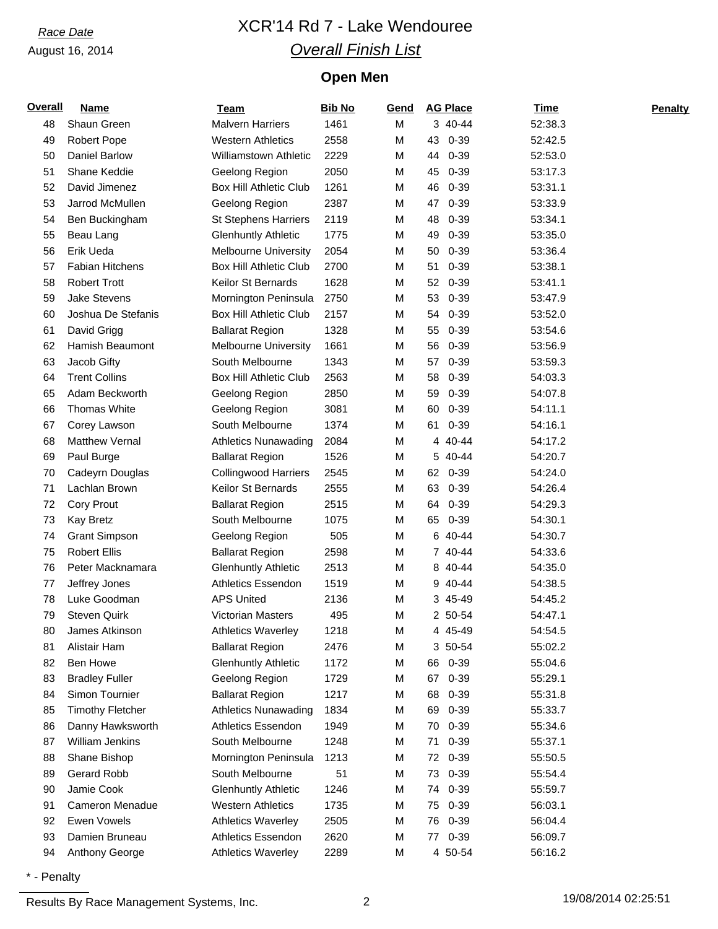# *Race Date* XCR'14 Rd 7 - Lake Wendouree *Overall Finish List*

## **Open Men**

| Overall | <b>Name</b>             | <b>Team</b>                   | <b>Bib No</b> | Gend | <b>AG Place</b> | <b>Time</b> | <b>Penalty</b> |
|---------|-------------------------|-------------------------------|---------------|------|-----------------|-------------|----------------|
| 48      | Shaun Green             | <b>Malvern Harriers</b>       | 1461          | M    | 3 40-44         | 52:38.3     |                |
| 49      | <b>Robert Pope</b>      | <b>Western Athletics</b>      | 2558          | М    | $0 - 39$<br>43  | 52:42.5     |                |
| 50      | <b>Daniel Barlow</b>    | <b>Williamstown Athletic</b>  | 2229          | М    | 44<br>$0 - 39$  | 52:53.0     |                |
| 51      | Shane Keddie            | Geelong Region                | 2050          | М    | 45<br>$0 - 39$  | 53:17.3     |                |
| 52      | David Jimenez           | <b>Box Hill Athletic Club</b> | 1261          | М    | 46<br>$0 - 39$  | 53:31.1     |                |
| 53      | Jarrod McMullen         | Geelong Region                | 2387          | Μ    | 47<br>$0 - 39$  | 53:33.9     |                |
| 54      | Ben Buckingham          | <b>St Stephens Harriers</b>   | 2119          | М    | 48<br>$0 - 39$  | 53:34.1     |                |
| 55      | Beau Lang               | <b>Glenhuntly Athletic</b>    | 1775          | Μ    | 49<br>$0 - 39$  | 53:35.0     |                |
| 56      | Erik Ueda               | <b>Melbourne University</b>   | 2054          | М    | 50<br>$0 - 39$  | 53:36.4     |                |
| 57      | <b>Fabian Hitchens</b>  | <b>Box Hill Athletic Club</b> | 2700          | Μ    | $0 - 39$<br>51  | 53:38.1     |                |
| 58      | <b>Robert Trott</b>     | Keilor St Bernards            | 1628          | М    | 52<br>$0 - 39$  | 53:41.1     |                |
| 59      | <b>Jake Stevens</b>     | Mornington Peninsula          | 2750          | М    | 53<br>$0 - 39$  | 53:47.9     |                |
| 60      | Joshua De Stefanis      | <b>Box Hill Athletic Club</b> | 2157          | М    | $0 - 39$<br>54  | 53:52.0     |                |
| 61      | David Grigg             | <b>Ballarat Region</b>        | 1328          | Μ    | 55<br>$0 - 39$  | 53:54.6     |                |
| 62      | Hamish Beaumont         | <b>Melbourne University</b>   | 1661          | М    | 56<br>$0 - 39$  | 53:56.9     |                |
| 63      | Jacob Gifty             | South Melbourne               | 1343          | М    | 57<br>$0 - 39$  | 53:59.3     |                |
| 64      | <b>Trent Collins</b>    | <b>Box Hill Athletic Club</b> | 2563          | М    | $0 - 39$<br>58  | 54:03.3     |                |
| 65      | Adam Beckworth          | Geelong Region                | 2850          | Μ    | $0 - 39$<br>59  | 54:07.8     |                |
| 66      | Thomas White            | Geelong Region                | 3081          | М    | 60<br>$0 - 39$  | 54:11.1     |                |
| 67      | Corey Lawson            | South Melbourne               | 1374          | Μ    | $0 - 39$<br>61  | 54:16.1     |                |
| 68      | <b>Matthew Vernal</b>   | <b>Athletics Nunawading</b>   | 2084          | М    | 4 40-44         | 54:17.2     |                |
| 69      | Paul Burge              | <b>Ballarat Region</b>        | 1526          | М    | 5 40-44         | 54:20.7     |                |
| 70      | Cadeyrn Douglas         | <b>Collingwood Harriers</b>   | 2545          | М    | 62<br>$0 - 39$  | 54:24.0     |                |
| 71      | Lachlan Brown           | Keilor St Bernards            | 2555          | М    | 63<br>$0 - 39$  | 54:26.4     |                |
| 72      | <b>Cory Prout</b>       | <b>Ballarat Region</b>        | 2515          | М    | $0 - 39$<br>64  | 54:29.3     |                |
| 73      | <b>Kay Bretz</b>        | South Melbourne               | 1075          | Μ    | 0-39<br>65      | 54:30.1     |                |
| 74      | <b>Grant Simpson</b>    | Geelong Region                | 505           | Μ    | 6 40-44         | 54:30.7     |                |
| 75      | <b>Robert Ellis</b>     | <b>Ballarat Region</b>        | 2598          | М    | 7 40-44         | 54:33.6     |                |
| 76      | Peter Macknamara        | <b>Glenhuntly Athletic</b>    | 2513          | М    | 8 40-44         | 54:35.0     |                |
| 77      | Jeffrey Jones           | Athletics Essendon            | 1519          | Μ    | 9 40-44         | 54:38.5     |                |
| 78      | Luke Goodman            | <b>APS United</b>             | 2136          | М    | 3 45-49         | 54:45.2     |                |
| 79      | <b>Steven Quirk</b>     | <b>Victorian Masters</b>      | 495           | М    | 2 50-54         | 54:47.1     |                |
| 80      | James Atkinson          | <b>Athletics Waverley</b>     | 1218          | M    | 4 45-49         | 54:54.5     |                |
| 81      | Alistair Ham            | <b>Ballarat Region</b>        | 2476          | М    | 3 50-54         | 55:02.2     |                |
| 82      | Ben Howe                | <b>Glenhuntly Athletic</b>    | 1172          | М    | $0 - 39$<br>66  | 55:04.6     |                |
| 83      | <b>Bradley Fuller</b>   | Geelong Region                | 1729          | Μ    | $0 - 39$<br>67  | 55:29.1     |                |
| 84      | Simon Tournier          | <b>Ballarat Region</b>        | 1217          | Μ    | $0 - 39$<br>68  | 55:31.8     |                |
| 85      | <b>Timothy Fletcher</b> | <b>Athletics Nunawading</b>   | 1834          | Μ    | $0 - 39$<br>69  | 55:33.7     |                |
| 86      | Danny Hawksworth        | <b>Athletics Essendon</b>     | 1949          | М    | $0 - 39$<br>70  | 55:34.6     |                |
| 87      | William Jenkins         | South Melbourne               | 1248          | М    | $0 - 39$<br>71  | 55:37.1     |                |
| 88      | Shane Bishop            | Mornington Peninsula          | 1213          | М    | $0 - 39$<br>72  | 55:50.5     |                |
| 89      | Gerard Robb             | South Melbourne               | 51            | М    | $0 - 39$<br>73  | 55:54.4     |                |
| 90      | Jamie Cook              | <b>Glenhuntly Athletic</b>    | 1246          | М    | $0 - 39$<br>74  | 55:59.7     |                |
| 91      | Cameron Menadue         | <b>Western Athletics</b>      | 1735          | М    | $0 - 39$<br>75  | 56:03.1     |                |
| 92      | <b>Ewen Vowels</b>      | <b>Athletics Waverley</b>     | 2505          | Μ    | $0 - 39$<br>76  | 56:04.4     |                |
| 93      | Damien Bruneau          | <b>Athletics Essendon</b>     | 2620          | М    | 77 0-39         | 56:09.7     |                |
| 94      | Anthony George          | <b>Athletics Waverley</b>     | 2289          | М    | 4 50-54         | 56:16.2     |                |
|         |                         |                               |               |      |                 |             |                |

\* - Penalty

Results By Race Management Systems, Inc. 2 2 19/08/2014 02:25:51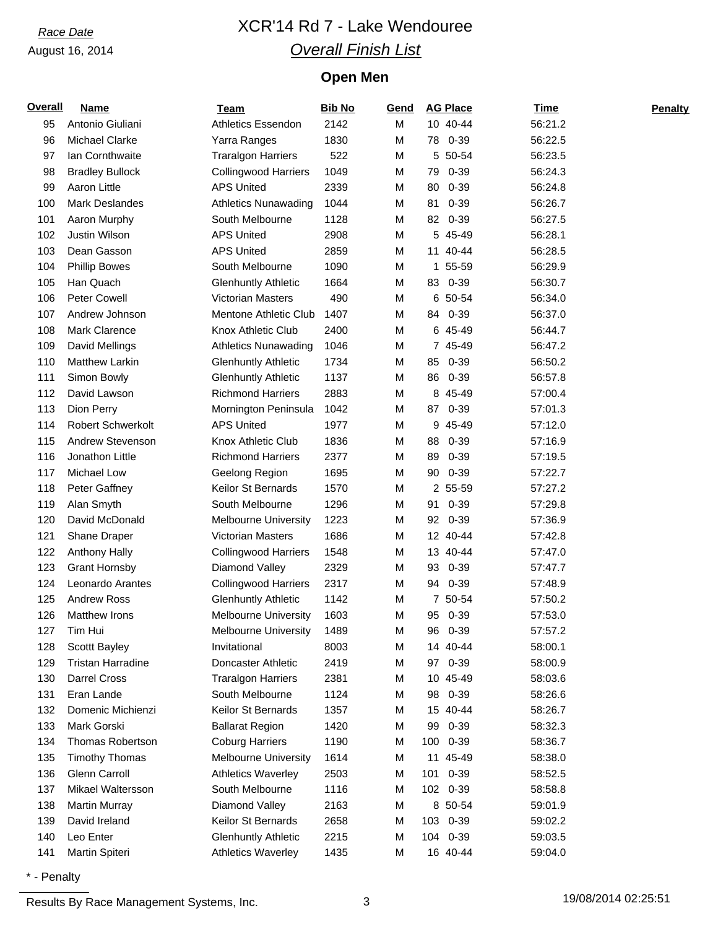# *Race Date* XCR'14 Rd 7 - Lake Wendouree *Overall Finish List*

## **Open Men**

| Overall | <b>Name</b>              | Team                        | <b>Bib No</b> | Gend |    | <b>AG Place</b> | Time    | <b>Penalty</b> |
|---------|--------------------------|-----------------------------|---------------|------|----|-----------------|---------|----------------|
| 95      | Antonio Giuliani         | <b>Athletics Essendon</b>   | 2142          | M    |    | 10 40-44        | 56:21.2 |                |
| 96      | <b>Michael Clarke</b>    | Yarra Ranges                | 1830          | M    |    | 78 0-39         | 56:22.5 |                |
| 97      | Ian Cornthwaite          | <b>Traralgon Harriers</b>   | 522           | M    |    | 5 50-54         | 56:23.5 |                |
| 98      | <b>Bradley Bullock</b>   | <b>Collingwood Harriers</b> | 1049          | M    | 79 | 0-39            | 56:24.3 |                |
| 99      | Aaron Little             | <b>APS United</b>           | 2339          | M    | 80 | $0 - 39$        | 56:24.8 |                |
| 100     | Mark Deslandes           | <b>Athletics Nunawading</b> | 1044          | M    | 81 | $0 - 39$        | 56:26.7 |                |
| 101     | Aaron Murphy             | South Melbourne             | 1128          | M    | 82 | 0-39            | 56:27.5 |                |
| 102     | Justin Wilson            | <b>APS United</b>           | 2908          | M    |    | 5 45-49         | 56:28.1 |                |
| 103     | Dean Gasson              | <b>APS United</b>           | 2859          | M    |    | 11 40-44        | 56:28.5 |                |
| 104     | <b>Phillip Bowes</b>     | South Melbourne             | 1090          | M    |    | 1 55-59         | 56:29.9 |                |
| 105     | Han Quach                | <b>Glenhuntly Athletic</b>  | 1664          | M    |    | 83 0-39         | 56:30.7 |                |
| 106     | <b>Peter Cowell</b>      | <b>Victorian Masters</b>    | 490           | M    |    | 6 50-54         | 56:34.0 |                |
| 107     | Andrew Johnson           | Mentone Athletic Club       | 1407          | M    |    | 84 0-39         | 56:37.0 |                |
| 108     | Mark Clarence            | Knox Athletic Club          | 2400          | M    |    | 6 45-49         | 56:44.7 |                |
| 109     | David Mellings           | <b>Athletics Nunawading</b> | 1046          | M    |    | 7 45-49         | 56:47.2 |                |
| 110     | <b>Matthew Larkin</b>    | <b>Glenhuntly Athletic</b>  | 1734          | M    | 85 | 0-39            | 56:50.2 |                |
| 111     | Simon Bowly              | <b>Glenhuntly Athletic</b>  | 1137          | M    |    | 86 0-39         | 56:57.8 |                |
| 112     | David Lawson             | <b>Richmond Harriers</b>    | 2883          | M    |    | 8 45-49         | 57:00.4 |                |
| 113     | Dion Perry               | Mornington Peninsula        | 1042          | M    |    | 87 0-39         | 57:01.3 |                |
| 114     | <b>Robert Schwerkolt</b> | <b>APS United</b>           | 1977          | M    |    | 9 45-49         | 57:12.0 |                |
| 115     | Andrew Stevenson         | Knox Athletic Club          | 1836          | M    | 88 | $0 - 39$        | 57:16.9 |                |
| 116     | Jonathon Little          | <b>Richmond Harriers</b>    | 2377          | M    | 89 | $0 - 39$        | 57:19.5 |                |
| 117     | <b>Michael Low</b>       | Geelong Region              | 1695          | M    | 90 | $0 - 39$        | 57:22.7 |                |
| 118     | Peter Gaffney            | Keilor St Bernards          | 1570          | M    |    | 2 55-59         | 57:27.2 |                |
| 119     | Alan Smyth               | South Melbourne             | 1296          | M    | 91 | $0 - 39$        | 57:29.8 |                |
| 120     | David McDonald           | <b>Melbourne University</b> | 1223          | M    |    | 92 0-39         | 57:36.9 |                |
| 121     | Shane Draper             | <b>Victorian Masters</b>    | 1686          | M    |    | 12 40-44        | 57:42.8 |                |
| 122     | <b>Anthony Hally</b>     | <b>Collingwood Harriers</b> | 1548          | M    |    | 13 40-44        | 57:47.0 |                |
| 123     | <b>Grant Hornsby</b>     | Diamond Valley              | 2329          | M    | 93 | $0 - 39$        | 57:47.7 |                |
| 124     | Leonardo Arantes         | <b>Collingwood Harriers</b> | 2317          | M    |    | 94 0-39         | 57:48.9 |                |
| 125     | Andrew Ross              | <b>Glenhuntly Athletic</b>  | 1142          | M    |    | 7 50-54         | 57:50.2 |                |
| 126     | <b>Matthew Irons</b>     | <b>Melbourne University</b> | 1603          | M    |    | 95 0-39         | 57:53.0 |                |
| 127     | Tim Hui                  | Melbourne University        | 1489          | M    | 96 | $0 - 39$        | 57:57.2 |                |
| 128     | Scottt Bayley            | Invitational                | 8003          | M    |    | 14 40-44        | 58:00.1 |                |
| 129     | <b>Tristan Harradine</b> | Doncaster Athletic          | 2419          | M    |    | 97 0-39         | 58:00.9 |                |
| 130     | Darrel Cross             | <b>Traralgon Harriers</b>   | 2381          | М    |    | 10 45-49        | 58:03.6 |                |
| 131     | Eran Lande               | South Melbourne             | 1124          | M    |    | 98 0-39         | 58:26.6 |                |
| 132     | Domenic Michienzi        | Keilor St Bernards          | 1357          | M    |    | 15 40-44        | 58:26.7 |                |
| 133     | Mark Gorski              | <b>Ballarat Region</b>      | 1420          | M    | 99 | 0-39            | 58:32.3 |                |
| 134     | Thomas Robertson         | <b>Coburg Harriers</b>      | 1190          | M    |    | 100 0-39        | 58:36.7 |                |
| 135     | <b>Timothy Thomas</b>    | <b>Melbourne University</b> | 1614          | M    | 11 | 45-49           | 58:38.0 |                |
| 136     | Glenn Carroll            | <b>Athletics Waverley</b>   | 2503          | M    |    | 101 0-39        | 58:52.5 |                |
| 137     | Mikael Waltersson        | South Melbourne             | 1116          | M    |    | 102 0-39        | 58:58.8 |                |
| 138     | <b>Martin Murray</b>     | Diamond Valley              | 2163          | M    |    | 8 50-54         | 59:01.9 |                |
| 139     | David Ireland            | Keilor St Bernards          | 2658          | M    |    | 103 0-39        | 59:02.2 |                |
| 140     | Leo Enter                | <b>Glenhuntly Athletic</b>  | 2215          | M    |    | 104 0-39        | 59:03.5 |                |
| 141     | Martin Spiteri           | <b>Athletics Waverley</b>   | 1435          | M    |    | 16 40-44        | 59:04.0 |                |
|         |                          |                             |               |      |    |                 |         |                |

\* - Penalty

Results By Race Management Systems, Inc. 23 19/08/2014 02:25:51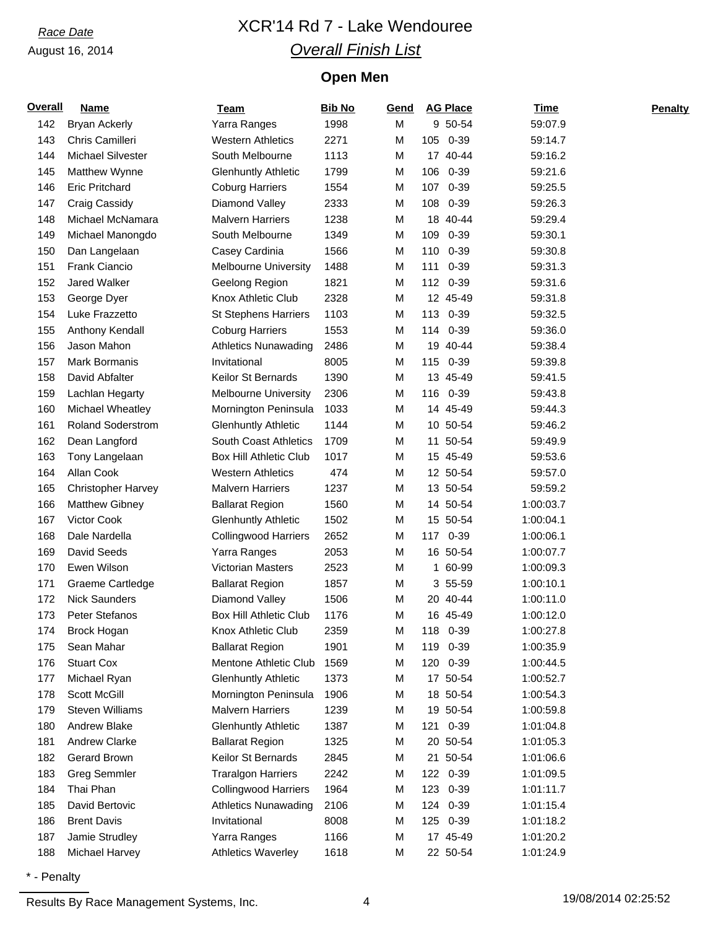# *Race Date* XCR'14 Rd 7 - Lake Wendouree *Overall Finish List*

## **Open Men**

| <b>Overall</b> | <b>Name</b>               | Team                          | <b>Bib No</b> | Gend |          | <b>AG Place</b> | <b>Time</b> | <b>Penalty</b> |
|----------------|---------------------------|-------------------------------|---------------|------|----------|-----------------|-------------|----------------|
| 142            | <b>Bryan Ackerly</b>      | Yarra Ranges                  | 1998          | M    |          | 9 50-54         | 59:07.9     |                |
| 143            | Chris Camilleri           | <b>Western Athletics</b>      | 2271          | M    | 105 0-39 |                 | 59:14.7     |                |
| 144            | Michael Silvester         | South Melbourne               | 1113          | M    |          | 17 40-44        | 59:16.2     |                |
| 145            | Matthew Wynne             | <b>Glenhuntly Athletic</b>    | 1799          | M    | 106      | 0-39            | 59:21.6     |                |
| 146            | <b>Eric Pritchard</b>     | <b>Coburg Harriers</b>        | 1554          | M    | 107      | 0-39            | 59:25.5     |                |
| 147            | Craig Cassidy             | Diamond Valley                | 2333          | M    | 108 0-39 |                 | 59:26.3     |                |
| 148            | Michael McNamara          | <b>Malvern Harriers</b>       | 1238          | M    |          | 18 40-44        | 59:29.4     |                |
| 149            | Michael Manongdo          | South Melbourne               | 1349          | M    | 109      | $0 - 39$        | 59:30.1     |                |
| 150            | Dan Langelaan             | Casey Cardinia                | 1566          | M    | 110 0-39 |                 | 59:30.8     |                |
| 151            | Frank Ciancio             | <b>Melbourne University</b>   | 1488          | M    | 111 0-39 |                 | 59:31.3     |                |
| 152            | Jared Walker              | Geelong Region                | 1821          | M    | 112 0-39 |                 | 59:31.6     |                |
| 153            | George Dyer               | Knox Athletic Club            | 2328          | M    |          | 12 45-49        | 59:31.8     |                |
| 154            | Luke Frazzetto            | <b>St Stephens Harriers</b>   | 1103          | M    | 113 0-39 |                 | 59:32.5     |                |
| 155            | Anthony Kendall           | <b>Coburg Harriers</b>        | 1553          | M    | 114 0-39 |                 | 59:36.0     |                |
| 156            | Jason Mahon               | <b>Athletics Nunawading</b>   | 2486          | M    |          | 19 40-44        | 59:38.4     |                |
| 157            | Mark Bormanis             | Invitational                  | 8005          | M    | 115 0-39 |                 | 59:39.8     |                |
| 158            | David Abfalter            | Keilor St Bernards            | 1390          | M    |          | 13 45-49        | 59:41.5     |                |
| 159            | Lachlan Hegarty           | <b>Melbourne University</b>   | 2306          | M    |          | 116 0-39        | 59:43.8     |                |
| 160            | Michael Wheatley          | Mornington Peninsula          | 1033          | M    |          | 14 45-49        | 59:44.3     |                |
| 161            | <b>Roland Soderstrom</b>  | <b>Glenhuntly Athletic</b>    | 1144          | M    |          | 10 50-54        | 59:46.2     |                |
| 162            | Dean Langford             | <b>South Coast Athletics</b>  | 1709          | М    |          | 11 50-54        | 59:49.9     |                |
| 163            | Tony Langelaan            | <b>Box Hill Athletic Club</b> | 1017          | М    |          | 15 45-49        | 59:53.6     |                |
| 164            | Allan Cook                | <b>Western Athletics</b>      | 474           | М    |          | 12 50-54        | 59:57.0     |                |
| 165            | <b>Christopher Harvey</b> | <b>Malvern Harriers</b>       | 1237          | M    |          | 13 50-54        | 59:59.2     |                |
| 166            | <b>Matthew Gibney</b>     | <b>Ballarat Region</b>        | 1560          | M    |          | 14 50-54        | 1:00:03.7   |                |
| 167            | Victor Cook               | <b>Glenhuntly Athletic</b>    | 1502          | М    |          | 15 50-54        | 1:00:04.1   |                |
| 168            | Dale Nardella             | <b>Collingwood Harriers</b>   | 2652          | M    |          | 117 0-39        | 1:00:06.1   |                |
| 169            | David Seeds               | Yarra Ranges                  | 2053          | M    |          | 16 50-54        | 1:00:07.7   |                |
| 170            | Ewen Wilson               | <b>Victorian Masters</b>      | 2523          | M    |          | 1 60-99         | 1:00:09.3   |                |
| 171            | Graeme Cartledge          | <b>Ballarat Region</b>        | 1857          | M    |          | 3 55-59         | 1:00:10.1   |                |
| 172            | <b>Nick Saunders</b>      | Diamond Valley                | 1506          | M    |          | 20 40-44        | 1:00:11.0   |                |
| 173            | Peter Stefanos            | Box Hill Athletic Club        | 1176          | M    |          | 16 45-49        | 1:00:12.0   |                |
| 174            | Brock Hogan               | Knox Athletic Club            | 2359          | M    | 118 0-39 |                 | 1:00:27.8   |                |
| 175            | Sean Mahar                | <b>Ballarat Region</b>        | 1901          | M    | 119 0-39 |                 | 1:00:35.9   |                |
| 176            | <b>Stuart Cox</b>         | Mentone Athletic Club         | 1569          | M    | 120 0-39 |                 | 1:00:44.5   |                |
| 177            | Michael Ryan              | <b>Glenhuntly Athletic</b>    | 1373          | M    |          | 17 50-54        | 1:00:52.7   |                |
| 178            | Scott McGill              | Mornington Peninsula          | 1906          | M    |          | 18 50-54        | 1:00:54.3   |                |
| 179            | <b>Steven Williams</b>    | <b>Malvern Harriers</b>       | 1239          | М    |          | 19 50-54        | 1:00:59.8   |                |
| 180            | Andrew Blake              | <b>Glenhuntly Athletic</b>    | 1387          | M    |          | 121 0-39        | 1:01:04.8   |                |
| 181            | Andrew Clarke             | <b>Ballarat Region</b>        | 1325          | M    |          | 20 50-54        | 1:01:05.3   |                |
| 182            | Gerard Brown              | Keilor St Bernards            | 2845          | M    |          | 21 50-54        | 1:01:06.6   |                |
| 183            | <b>Greg Semmler</b>       | <b>Traralgon Harriers</b>     | 2242          | M    | 122 0-39 |                 | 1:01:09.5   |                |
| 184            | Thai Phan                 | <b>Collingwood Harriers</b>   | 1964          | M    | 123 0-39 |                 | 1:01:11.7   |                |
| 185            | David Bertovic            | <b>Athletics Nunawading</b>   | 2106          | M    | 124      | $0 - 39$        | 1:01:15.4   |                |
| 186            | <b>Brent Davis</b>        | Invitational                  | 8008          | M    | 125 0-39 |                 | 1:01:18.2   |                |
| 187            | Jamie Strudley            | Yarra Ranges                  | 1166          | M    |          | 17 45-49        | 1:01:20.2   |                |
| 188            | Michael Harvey            | <b>Athletics Waverley</b>     | 1618          | M    |          | 22 50-54        | 1:01:24.9   |                |

\* - Penalty

Results By Race Management Systems, Inc. 4 19/08/2014 02:25:52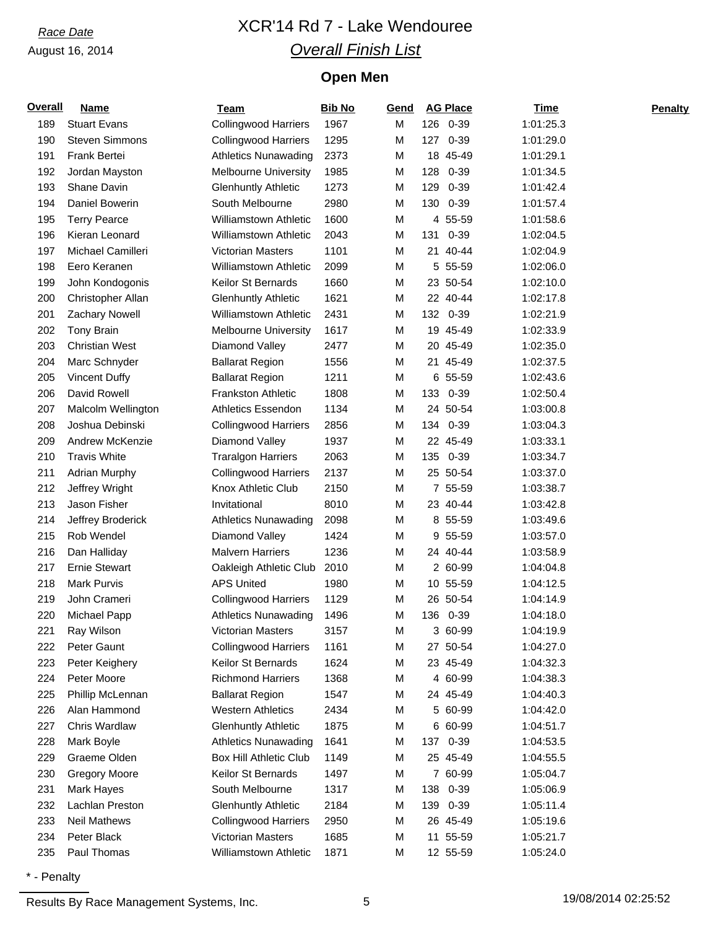# *Race Date* XCR'14 Rd 7 - Lake Wendouree *Overall Finish List*

## **Open Men**

| <b>Overall</b> | <b>Name</b>           | <b>Team</b>                  | <b>Bib No</b> | Gend |     | <b>AG Place</b> | Time      | <b>Penalty</b> |
|----------------|-----------------------|------------------------------|---------------|------|-----|-----------------|-----------|----------------|
| 189            | <b>Stuart Evans</b>   | <b>Collingwood Harriers</b>  | 1967          | M    |     | 126 0-39        | 1:01:25.3 |                |
| 190            | <b>Steven Simmons</b> | <b>Collingwood Harriers</b>  | 1295          | M    |     | 127 0-39        | 1:01:29.0 |                |
| 191            | Frank Bertei          | <b>Athletics Nunawading</b>  | 2373          | M    |     | 18 45-49        | 1:01:29.1 |                |
| 192            | Jordan Mayston        | <b>Melbourne University</b>  | 1985          | M    | 128 | $0 - 39$        | 1:01:34.5 |                |
| 193            | Shane Davin           | <b>Glenhuntly Athletic</b>   | 1273          | M    | 129 | $0 - 39$        | 1:01:42.4 |                |
| 194            | Daniel Bowerin        | South Melbourne              | 2980          | M    | 130 | 0-39            | 1:01:57.4 |                |
| 195            | <b>Terry Pearce</b>   | <b>Williamstown Athletic</b> | 1600          | M    |     | 4 55-59         | 1:01:58.6 |                |
| 196            | Kieran Leonard        | <b>Williamstown Athletic</b> | 2043          | M    | 131 | $0 - 39$        | 1:02:04.5 |                |
| 197            | Michael Camilleri     | <b>Victorian Masters</b>     | 1101          | M    |     | 21 40-44        | 1:02:04.9 |                |
| 198            | Eero Keranen          | <b>Williamstown Athletic</b> | 2099          | М    |     | 5 55-59         | 1:02:06.0 |                |
| 199            | John Kondogonis       | Keilor St Bernards           | 1660          | M    |     | 23 50-54        | 1:02:10.0 |                |
| 200            | Christopher Allan     | <b>Glenhuntly Athletic</b>   | 1621          | M    |     | 22 40-44        | 1:02:17.8 |                |
| 201            | Zachary Nowell        | <b>Williamstown Athletic</b> | 2431          | M    |     | 132 0-39        | 1:02:21.9 |                |
| 202            | <b>Tony Brain</b>     | Melbourne University         | 1617          | M    |     | 19 45-49        | 1:02:33.9 |                |
| 203            | <b>Christian West</b> | Diamond Valley               | 2477          | M    |     | 20 45-49        | 1:02:35.0 |                |
| 204            | Marc Schnyder         | <b>Ballarat Region</b>       | 1556          | M    |     | 21 45-49        | 1:02:37.5 |                |
| 205            | <b>Vincent Duffy</b>  | <b>Ballarat Region</b>       | 1211          | M    |     | 6 55-59         | 1:02:43.6 |                |
| 206            | David Rowell          | <b>Frankston Athletic</b>    | 1808          | M    |     | 133 0-39        | 1:02:50.4 |                |
| 207            | Malcolm Wellington    | Athletics Essendon           | 1134          | M    |     | 24 50-54        | 1:03:00.8 |                |
| 208            | Joshua Debinski       | <b>Collingwood Harriers</b>  | 2856          | M    |     | 134 0-39        | 1:03:04.3 |                |
| 209            | Andrew McKenzie       | Diamond Valley               | 1937          | M    |     | 22 45-49        | 1:03:33.1 |                |
| 210            | <b>Travis White</b>   | <b>Traralgon Harriers</b>    | 2063          | M    |     | 135 0-39        | 1:03:34.7 |                |
| 211            | <b>Adrian Murphy</b>  | <b>Collingwood Harriers</b>  | 2137          | M    |     | 25 50-54        | 1:03:37.0 |                |
| 212            | Jeffrey Wright        | Knox Athletic Club           | 2150          | M    |     | 7 55-59         | 1:03:38.7 |                |
| 213            | Jason Fisher          | Invitational                 | 8010          | M    |     | 23 40-44        | 1:03:42.8 |                |
| 214            | Jeffrey Broderick     | <b>Athletics Nunawading</b>  | 2098          | M    |     | 8 55-59         | 1:03:49.6 |                |
| 215            | Rob Wendel            | Diamond Valley               | 1424          | M    |     | 9 55-59         | 1:03:57.0 |                |
| 216            | Dan Halliday          | <b>Malvern Harriers</b>      | 1236          | M    |     | 24 40-44        | 1:03:58.9 |                |
| 217            | <b>Ernie Stewart</b>  | Oakleigh Athletic Club       | 2010          | M    |     | 2 60-99         | 1:04:04.8 |                |
| 218            | <b>Mark Purvis</b>    | <b>APS United</b>            | 1980          | М    |     | 10 55-59        | 1:04:12.5 |                |
| 219            | John Crameri          | <b>Collingwood Harriers</b>  | 1129          | M    |     | 26 50-54        | 1:04:14.9 |                |
| 220            | Michael Papp          | <b>Athletics Nunawading</b>  | 1496          | M    |     | 136 0-39        | 1:04:18.0 |                |
| 221            | Ray Wilson            | Victorian Masters            | 3157          | M    |     | 3 60-99         | 1:04:19.9 |                |
| 222            | Peter Gaunt           | <b>Collingwood Harriers</b>  | 1161          | M    |     | 27 50-54        | 1:04:27.0 |                |
| 223            | Peter Keighery        | Keilor St Bernards           | 1624          | M    |     | 23 45-49        | 1:04:32.3 |                |
| 224            | Peter Moore           | <b>Richmond Harriers</b>     | 1368          | М    |     | 4 60-99         | 1:04:38.3 |                |
| 225            | Phillip McLennan      | <b>Ballarat Region</b>       | 1547          | M    |     | 24 45-49        | 1:04:40.3 |                |
| 226            | Alan Hammond          | <b>Western Athletics</b>     | 2434          | M    |     | 5 60-99         | 1:04:42.0 |                |
| 227            | Chris Wardlaw         | <b>Glenhuntly Athletic</b>   | 1875          | M    |     | 6 60-99         | 1:04:51.7 |                |
| 228            | Mark Boyle            | <b>Athletics Nunawading</b>  | 1641          | M    |     | 137 0-39        | 1:04:53.5 |                |
| 229            | Graeme Olden          | Box Hill Athletic Club       | 1149          | M    |     | 25 45-49        | 1:04:55.5 |                |
| 230            | <b>Gregory Moore</b>  | Keilor St Bernards           | 1497          | M    |     | 7 60-99         | 1:05:04.7 |                |
| 231            | Mark Hayes            | South Melbourne              | 1317          | M    | 138 | 0-39            | 1:05:06.9 |                |
| 232            | Lachlan Preston       | <b>Glenhuntly Athletic</b>   | 2184          | M    |     | 139 0-39        | 1:05:11.4 |                |
| 233            | <b>Neil Mathews</b>   | <b>Collingwood Harriers</b>  | 2950          | M    |     | 26 45-49        | 1:05:19.6 |                |
| 234            | Peter Black           | Victorian Masters            | 1685          | М    |     | 11 55-59        | 1:05:21.7 |                |
| 235            | Paul Thomas           | Williamstown Athletic        | 1871          | M    |     | 12 55-59        | 1:05:24.0 |                |
|                |                       |                              |               |      |     |                 |           |                |

\* - Penalty

Results By Race Management Systems, Inc. 6 19/08/2014 02:25:52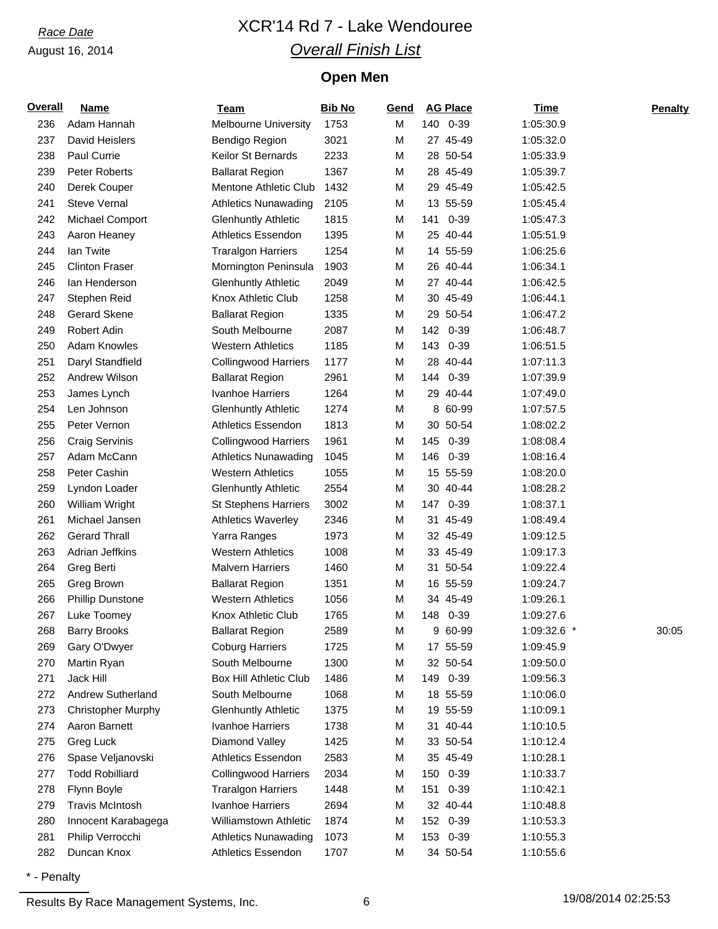# *Race Date* XCR'14 Rd 7 - Lake Wendouree *Overall Finish List*

## **Open Men**

| Overall    | <b>Name</b>                                 | <b>Team</b>                                   | <b>Bib No</b> | Gend   |     | <b>AG Place</b>      | <b>Time</b>            | Penalty |
|------------|---------------------------------------------|-----------------------------------------------|---------------|--------|-----|----------------------|------------------------|---------|
| 236        | Adam Hannah                                 | <b>Melbourne University</b>                   | 1753          | M      |     | 140 0-39             | 1:05:30.9              |         |
| 237        | David Heislers                              | Bendigo Region                                | 3021          | M      |     | 27 45-49             | 1:05:32.0              |         |
| 238        | Paul Currie                                 | Keilor St Bernards                            | 2233          | M      |     | 28 50-54             | 1:05:33.9              |         |
| 239        | <b>Peter Roberts</b>                        | <b>Ballarat Region</b>                        | 1367          | M      |     | 28 45-49             | 1:05:39.7              |         |
| 240        | Derek Couper                                | Mentone Athletic Club                         | 1432          | M      |     | 29 45-49             | 1:05:42.5              |         |
| 241        | <b>Steve Vernal</b>                         | <b>Athletics Nunawading</b>                   | 2105          | M      |     | 13 55-59             | 1:05:45.4              |         |
| 242        | Michael Comport                             | <b>Glenhuntly Athletic</b>                    | 1815          | M      | 141 | $0 - 39$             | 1:05:47.3              |         |
| 243        | Aaron Heaney                                | <b>Athletics Essendon</b>                     | 1395          | M      |     | 25 40-44             | 1:05:51.9              |         |
| 244        | lan Twite                                   | <b>Traralgon Harriers</b>                     | 1254          | M      |     | 14 55-59             | 1:06:25.6              |         |
| 245        | <b>Clinton Fraser</b>                       | Mornington Peninsula                          | 1903          | M      |     | 26 40-44             | 1:06:34.1              |         |
| 246        | lan Henderson                               | <b>Glenhuntly Athletic</b>                    | 2049          | M      |     | 27 40-44             | 1:06:42.5              |         |
| 247        | Stephen Reid                                | Knox Athletic Club                            | 1258          | M      |     | 30 45-49             | 1:06:44.1              |         |
| 248        | <b>Gerard Skene</b>                         | <b>Ballarat Region</b>                        | 1335          | M      |     | 29 50-54             | 1:06:47.2              |         |
| 249        | Robert Adin                                 | South Melbourne                               | 2087          | M      |     | 142 0-39             | 1:06:48.7              |         |
| 250        | <b>Adam Knowles</b>                         | <b>Western Athletics</b>                      | 1185          | M      | 143 | $0 - 39$             | 1:06:51.5              |         |
| 251        | Daryl Standfield                            | <b>Collingwood Harriers</b>                   | 1177          | M      |     | 28 40-44             | 1:07:11.3              |         |
| 252        | Andrew Wilson                               | <b>Ballarat Region</b>                        | 2961          | M      |     | 144 0-39             | 1:07:39.9              |         |
| 253        | James Lynch                                 | Ivanhoe Harriers                              | 1264          | M      |     | 29 40-44             | 1:07:49.0              |         |
| 254        | Len Johnson                                 | <b>Glenhuntly Athletic</b>                    | 1274          | M      |     | 8 60-99              | 1:07:57.5              |         |
| 255        | Peter Vernon                                | <b>Athletics Essendon</b>                     | 1813          | M      |     | 30 50-54             | 1:08:02.2              |         |
| 256        | <b>Craig Servinis</b>                       | <b>Collingwood Harriers</b>                   | 1961          | M      | 145 | $0 - 39$             | 1:08:08.4              |         |
| 257        | Adam McCann                                 | <b>Athletics Nunawading</b>                   | 1045          | M      | 146 | $0 - 39$             | 1:08:16.4              |         |
| 258        | Peter Cashin                                | <b>Western Athletics</b>                      | 1055          | M      |     | 15 55-59             | 1:08:20.0              |         |
| 259        | Lyndon Loader                               | <b>Glenhuntly Athletic</b>                    | 2554          | M      |     | 30 40-44             | 1:08:28.2              |         |
| 260        | William Wright                              | <b>St Stephens Harriers</b>                   | 3002          | M      |     | 147 0-39             | 1:08:37.1              |         |
| 261        | Michael Jansen                              | <b>Athletics Waverley</b>                     | 2346          | M      |     | 31 45-49             | 1:08:49.4              |         |
| 262        | <b>Gerard Thrall</b>                        | Yarra Ranges                                  | 1973          | M      |     | 32 45-49             | 1:09:12.5              |         |
| 263        | Adrian Jeffkins                             | <b>Western Athletics</b>                      | 1008          | M      |     | 33 45-49             | 1:09:17.3              |         |
| 264        | Greg Berti                                  | <b>Malvern Harriers</b>                       | 1460          | M      |     | 31 50-54             | 1:09:22.4              |         |
| 265        | Greg Brown                                  | <b>Ballarat Region</b>                        | 1351          | M      |     | 16 55-59             | 1:09:24.7              |         |
| 266        | <b>Phillip Dunstone</b>                     | <b>Western Athletics</b>                      | 1056          | M      |     | 34 45-49             | 1:09:26.1              |         |
| 267        | Luke Toomey                                 | Knox Athletic Club                            | 1765          | M      |     | 148 0-39             | 1:09:27.6              |         |
| 268        | <b>Barry Brooks</b>                         | <b>Ballarat Region</b>                        | 2589          | M      |     | 9 60-99              | 1:09:32.6              | 30:05   |
| 269        | Gary O'Dwyer                                | <b>Coburg Harriers</b>                        | 1725          | M      |     | 17 55-59             | 1:09:45.9              |         |
| 270        | Martin Ryan                                 | South Melbourne                               | 1300          | M      |     | 32 50-54             | 1:09:50.0              |         |
| 271        | Jack Hill                                   | <b>Box Hill Athletic Club</b>                 | 1486          | M      |     | 149 0-39             | 1:09:56.3              |         |
| 272        | Andrew Sutherland                           | South Melbourne                               | 1068          | M      |     | 18 55-59             | 1:10:06.0              |         |
| 273        | <b>Christopher Murphy</b>                   | <b>Glenhuntly Athletic</b>                    | 1375          | M      |     | 19 55-59             | 1:10:09.1<br>1:10:10.5 |         |
| 274        | Aaron Barnett                               | Ivanhoe Harriers                              | 1738          | M      |     | 31 40-44             |                        |         |
| 275        | Greg Luck                                   | Diamond Valley<br><b>Athletics Essendon</b>   | 1425          | M      |     | 33 50-54<br>35 45-49 | 1:10:12.4              |         |
| 276<br>277 | Spase Veljanovski<br><b>Todd Robilliard</b> |                                               | 2583<br>2034  | M      |     |                      | 1:10:28.1<br>1:10:33.7 |         |
|            |                                             | <b>Collingwood Harriers</b>                   |               | M      |     | 150 0-39             |                        |         |
| 278<br>279 | Flynn Boyle<br><b>Travis McIntosh</b>       | <b>Traralgon Harriers</b><br>Ivanhoe Harriers | 1448<br>2694  | M<br>M | 151 | $0 - 39$<br>32 40-44 | 1:10:42.1<br>1:10:48.8 |         |
| 280        | Innocent Karabagega                         | <b>Williamstown Athletic</b>                  | 1874          | M      |     | 152 0-39             | 1:10:53.3              |         |
| 281        | Philip Verrocchi                            | <b>Athletics Nunawading</b>                   | 1073          |        |     | 153 0-39             | 1:10:55.3              |         |
| 282        | Duncan Knox                                 | Athletics Essendon                            | 1707          | M<br>M |     | 34 50-54             | 1:10:55.6              |         |
|            |                                             |                                               |               |        |     |                      |                        |         |

\* - Penalty

Results By Race Management Systems, Inc. 6 19/08/2014 02:25:53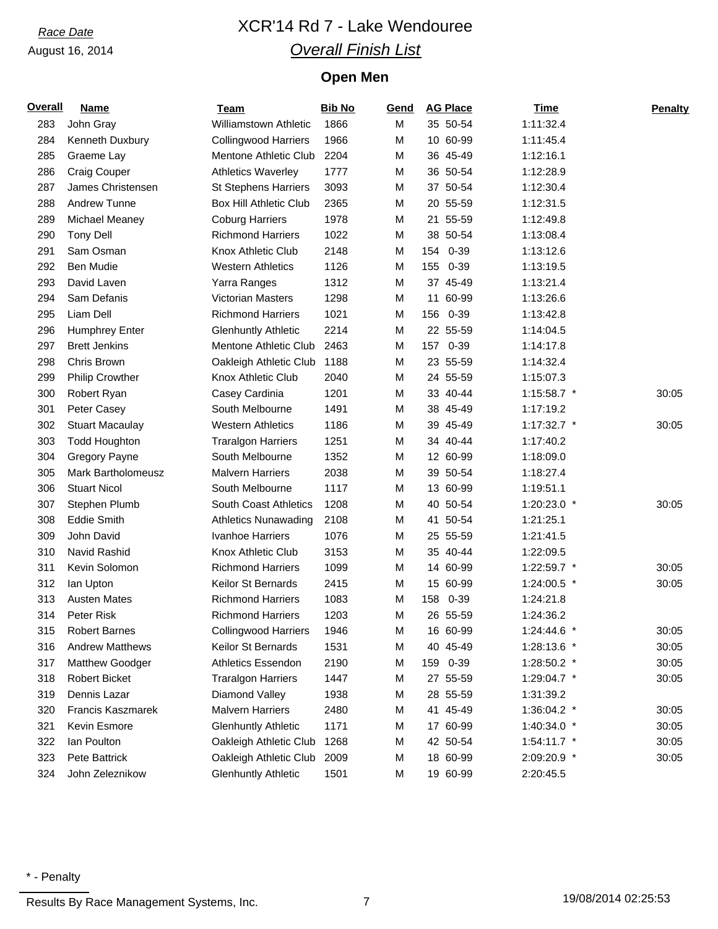# *Race Date* XCR'14 Rd 7 - Lake Wendouree *Overall Finish List*

## **Open Men**

| <b>Overall</b> | <b>Name</b>               | <b>Team</b>                   | <b>Bib No</b> | Gend | <b>AG Place</b> |          | <b>Time</b>   | <b>Penalty</b> |
|----------------|---------------------------|-------------------------------|---------------|------|-----------------|----------|---------------|----------------|
| 283            | John Gray                 | <b>Williamstown Athletic</b>  | 1866          | M    | 35 50-54        |          | 1:11:32.4     |                |
| 284            | Kenneth Duxbury           | <b>Collingwood Harriers</b>   | 1966          | М    | 10 60-99        |          | 1:11:45.4     |                |
| 285            | Graeme Lay                | Mentone Athletic Club         | 2204          | М    | 36 45-49        |          | 1:12:16.1     |                |
| 286            | <b>Craig Couper</b>       | <b>Athletics Waverley</b>     | 1777          | М    | 36 50-54        |          | 1:12:28.9     |                |
| 287            | James Christensen         | St Stephens Harriers          | 3093          | М    | 37 50-54        |          | 1:12:30.4     |                |
| 288            | <b>Andrew Tunne</b>       | <b>Box Hill Athletic Club</b> | 2365          | М    | 20 55-59        |          | 1:12:31.5     |                |
| 289            | Michael Meaney            | <b>Coburg Harriers</b>        | 1978          | М    | 21 55-59        |          | 1:12:49.8     |                |
| 290            | <b>Tony Dell</b>          | <b>Richmond Harriers</b>      | 1022          | М    | 38 50-54        |          | 1:13:08.4     |                |
| 291            | Sam Osman                 | Knox Athletic Club            | 2148          | M    | 154 0-39        |          | 1:13:12.6     |                |
| 292            | Ben Mudie                 | <b>Western Athletics</b>      | 1126          | M    | 155             | $0 - 39$ | 1:13:19.5     |                |
| 293            | David Laven               | Yarra Ranges                  | 1312          | М    | 37 45-49        |          | 1:13:21.4     |                |
| 294            | Sam Defanis               | Victorian Masters             | 1298          | М    | 11 60-99        |          | 1:13:26.6     |                |
| 295            | Liam Dell                 | <b>Richmond Harriers</b>      | 1021          | M    | 156             | $0 - 39$ | 1:13:42.8     |                |
| 296            | <b>Humphrey Enter</b>     | <b>Glenhuntly Athletic</b>    | 2214          | М    | 22 55-59        |          | 1:14:04.5     |                |
| 297            | <b>Brett Jenkins</b>      | Mentone Athletic Club         | 2463          | М    | 157             | $0 - 39$ | 1:14:17.8     |                |
| 298            | Chris Brown               | Oakleigh Athletic Club        | 1188          | М    | 23 55-59        |          | 1:14:32.4     |                |
| 299            | <b>Philip Crowther</b>    | Knox Athletic Club            | 2040          | М    | 24 55-59        |          | 1:15:07.3     |                |
| 300            | Robert Ryan               | Casey Cardinia                | 1201          | М    | 33 40-44        |          | 1:15:58.7 *   | 30:05          |
| 301            | Peter Casey               | South Melbourne               | 1491          | М    | 38 45-49        |          | 1:17:19.2     |                |
| 302            | <b>Stuart Macaulay</b>    | <b>Western Athletics</b>      | 1186          | М    | 39 45-49        |          | 1:17:32.7 *   | 30:05          |
| 303            | <b>Todd Houghton</b>      | <b>Traralgon Harriers</b>     | 1251          | М    | 34 40-44        |          | 1:17:40.2     |                |
| 304            | Gregory Payne             | South Melbourne               | 1352          | М    | 12 60-99        |          | 1:18:09.0     |                |
| 305            | <b>Mark Bartholomeusz</b> | <b>Malvern Harriers</b>       | 2038          | М    | 39 50-54        |          | 1:18:27.4     |                |
| 306            | <b>Stuart Nicol</b>       | South Melbourne               | 1117          | М    | 13 60-99        |          | 1:19:51.1     |                |
| 307            | Stephen Plumb             | <b>South Coast Athletics</b>  | 1208          | М    | 40 50-54        |          | 1:20:23.0 *   | 30:05          |
| 308            | <b>Eddie Smith</b>        | <b>Athletics Nunawading</b>   | 2108          | М    | 41 50-54        |          | 1:21:25.1     |                |
| 309            | John David                | Ivanhoe Harriers              | 1076          | М    | 25 55-59        |          | 1:21:41.5     |                |
| 310            | Navid Rashid              | Knox Athletic Club            | 3153          | М    | 35 40-44        |          | 1:22:09.5     |                |
| 311            | Kevin Solomon             | <b>Richmond Harriers</b>      | 1099          | M    | 14 60-99        |          | 1:22:59.7 *   | 30:05          |
| 312            | lan Upton                 | Keilor St Bernards            | 2415          | М    | 15 60-99        |          | 1:24:00.5 *   | 30:05          |
| 313            | <b>Austen Mates</b>       | <b>Richmond Harriers</b>      | 1083          | М    | 158             | 0-39     | 1:24:21.8     |                |
| 314            | Peter Risk                | <b>Richmond Harriers</b>      | 1203          | М    | 26 55-59        |          | 1:24:36.2     |                |
| 315            | <b>Robert Barnes</b>      | <b>Collingwood Harriers</b>   | 1946          | М    | 16 60-99        |          | 1:24:44.6 *   | 30:05          |
| 316            | <b>Andrew Matthews</b>    | Keilor St Bernards            | 1531          | М    | 40 45-49        |          | 1:28:13.6 *   | 30:05          |
| 317            | Matthew Goodger           | <b>Athletics Essendon</b>     | 2190          | М    | 159 0-39        |          | 1:28:50.2 *   | 30:05          |
| 318            | <b>Robert Bicket</b>      | <b>Traralgon Harriers</b>     | 1447          | М    | 27 55-59        |          | 1:29:04.7 *   | 30:05          |
| 319            | Dennis Lazar              | Diamond Valley                | 1938          | М    | 28 55-59        |          | 1:31:39.2     |                |
| 320            | Francis Kaszmarek         | <b>Malvern Harriers</b>       | 2480          | М    | 41 45-49        |          | 1:36:04.2 *   | 30:05          |
| 321            | Kevin Esmore              | <b>Glenhuntly Athletic</b>    | 1171          | М    | 17 60-99        |          | 1:40:34.0 *   | 30:05          |
| 322            | lan Poulton               | Oakleigh Athletic Club        | 1268          | М    | 42 50-54        |          | $1:54:11.7$ * | 30:05          |
| 323            | Pete Battrick             | Oakleigh Athletic Club        | 2009          | М    | 18 60-99        |          | 2:09:20.9 *   | 30:05          |
| 324            | John Zeleznikow           | <b>Glenhuntly Athletic</b>    | 1501          | М    | 19 60-99        |          | 2:20:45.5     |                |

Results By Race Management Systems, Inc. 27 19/08/2014 02:25:53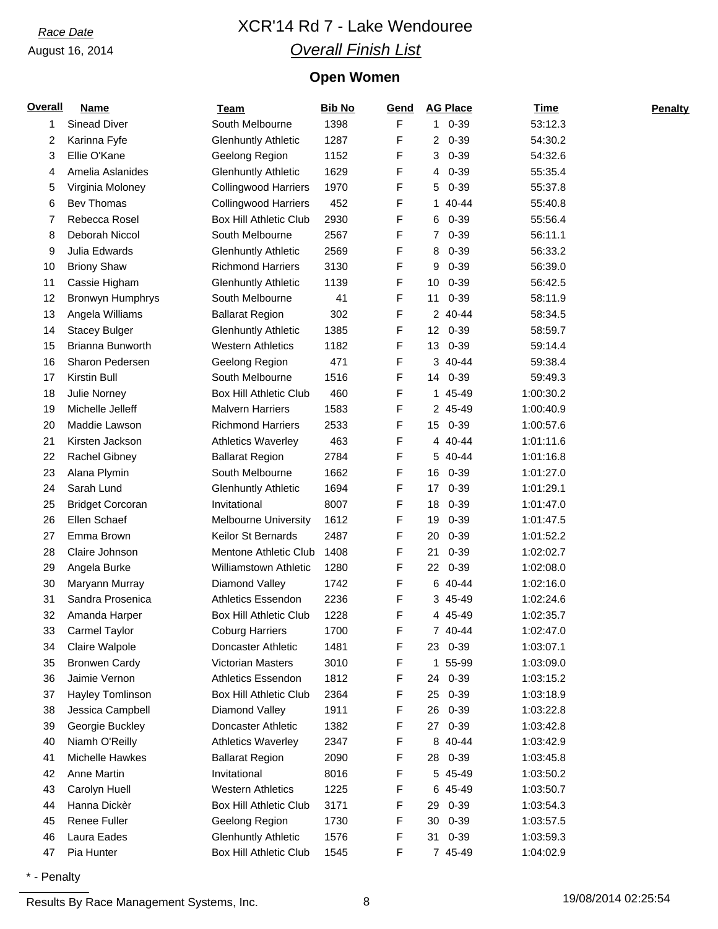# *Race Date* XCR'14 Rd 7 - Lake Wendouree *Overall Finish List*

## **Open Women**

| <b>Overall</b> | <b>Name</b>             | <b>Team</b>                   | <b>Bib No</b> | Gend | <b>AG Place</b> | Time      | <b>Penalty</b> |
|----------------|-------------------------|-------------------------------|---------------|------|-----------------|-----------|----------------|
| 1              | Sinead Diver            | South Melbourne               | 1398          | F    | 1 0-39          | 53:12.3   |                |
| 2              | Karinna Fyfe            | <b>Glenhuntly Athletic</b>    | 1287          | F    | $20-39$         | 54:30.2   |                |
| 3              | Ellie O'Kane            | Geelong Region                | 1152          | F    | $0 - 39$<br>3   | 54:32.6   |                |
| 4              | Amelia Aslanides        | <b>Glenhuntly Athletic</b>    | 1629          | F    | $0 - 39$<br>4   | 55:35.4   |                |
| 5              | Virginia Moloney        | <b>Collingwood Harriers</b>   | 1970          | F    | 5<br>$0 - 39$   | 55:37.8   |                |
| 6              | Bev Thomas              | <b>Collingwood Harriers</b>   | 452           | F    | 1 40-44         | 55:40.8   |                |
| 7              | Rebecca Rosel           | <b>Box Hill Athletic Club</b> | 2930          | F    | $0 - 39$<br>6   | 55:56.4   |                |
| 8              | Deborah Niccol          | South Melbourne               | 2567          | F    | $0 - 39$<br>7   | 56:11.1   |                |
| 9              | Julia Edwards           | <b>Glenhuntly Athletic</b>    | 2569          | F    | $0 - 39$<br>8   | 56:33.2   |                |
| 10             | <b>Briony Shaw</b>      | <b>Richmond Harriers</b>      | 3130          | F    | $0 - 39$<br>9   | 56:39.0   |                |
| 11             | Cassie Higham           | <b>Glenhuntly Athletic</b>    | 1139          | F    | $0 - 39$<br>10  | 56:42.5   |                |
| 12             | Bronwyn Humphrys        | South Melbourne               | 41            | F    | $0 - 39$<br>11  | 58:11.9   |                |
| 13             | Angela Williams         | <b>Ballarat Region</b>        | 302           | F    | 2 40-44         | 58:34.5   |                |
| 14             | <b>Stacey Bulger</b>    | <b>Glenhuntly Athletic</b>    | 1385          | F    | 12 0-39         | 58:59.7   |                |
| 15             | Brianna Bunworth        | <b>Western Athletics</b>      | 1182          | F    | 13 0-39         | 59:14.4   |                |
| 16             | Sharon Pedersen         | Geelong Region                | 471           | F    | 3 40-44         | 59:38.4   |                |
| 17             | <b>Kirstin Bull</b>     | South Melbourne               | 1516          | F    | 14 0-39         | 59:49.3   |                |
| 18             | Julie Norney            | <b>Box Hill Athletic Club</b> | 460           | F    | 1 45-49         | 1:00:30.2 |                |
| 19             | Michelle Jelleff        | <b>Malvern Harriers</b>       | 1583          | F    | 2 45-49         | 1:00:40.9 |                |
| 20             | Maddie Lawson           | <b>Richmond Harriers</b>      | 2533          | F    | $0 - 39$<br>15  | 1:00:57.6 |                |
| 21             | Kirsten Jackson         | <b>Athletics Waverley</b>     | 463           | F    | 4 40-44         | 1:01:11.6 |                |
| 22             | <b>Rachel Gibney</b>    | <b>Ballarat Region</b>        | 2784          | F    | 5 40-44         | 1:01:16.8 |                |
| 23             | Alana Plymin            | South Melbourne               | 1662          | F    | 16 0-39         | 1:01:27.0 |                |
| 24             | Sarah Lund              | <b>Glenhuntly Athletic</b>    | 1694          | F    | 17<br>$0 - 39$  | 1:01:29.1 |                |
| 25             | <b>Bridget Corcoran</b> | Invitational                  | 8007          | F    | 18<br>$0 - 39$  | 1:01:47.0 |                |
| 26             | Ellen Schaef            | <b>Melbourne University</b>   | 1612          | F    | $0 - 39$<br>19  | 1:01:47.5 |                |
| 27             | Emma Brown              | <b>Keilor St Bernards</b>     | 2487          | F    | $0 - 39$<br>20  | 1:01:52.2 |                |
| 28             | Claire Johnson          | Mentone Athletic Club         | 1408          | F    | $0 - 39$<br>21  | 1:02:02.7 |                |
| 29             | Angela Burke            | <b>Williamstown Athletic</b>  | 1280          | F    | $0 - 39$<br>22  | 1:02:08.0 |                |
| 30             | Maryann Murray          | Diamond Valley                | 1742          | F    | 6 40-44         | 1:02:16.0 |                |
| 31             | Sandra Prosenica        | <b>Athletics Essendon</b>     | 2236          | F    | 3 45-49         | 1:02:24.6 |                |
| 32             | Amanda Harper           | <b>Box Hill Athletic Club</b> | 1228          | F    | 4 45-49         | 1:02:35.7 |                |
| 33             | Carmel Taylor           | <b>Coburg Harriers</b>        | 1700          | F    | 7 40-44         | 1:02:47.0 |                |
| 34             | Claire Walpole          | Doncaster Athletic            | 1481          | F    | 23 0-39         | 1:03:07.1 |                |
| 35             | <b>Bronwen Cardy</b>    | <b>Victorian Masters</b>      | 3010          | F    | 55-99<br>1      | 1:03:09.0 |                |
| 36             | Jaimie Vernon           | <b>Athletics Essendon</b>     | 1812          | F    | $0 - 39$<br>24  | 1:03:15.2 |                |
| 37             | Hayley Tomlinson        | <b>Box Hill Athletic Club</b> | 2364          | F    | $0 - 39$<br>25  | 1:03:18.9 |                |
| 38             | Jessica Campbell        | Diamond Valley                | 1911          | F    | 26 0-39         | 1:03:22.8 |                |
| 39             | Georgie Buckley         | <b>Doncaster Athletic</b>     | 1382          | F    | 27 0-39         | 1:03:42.8 |                |
| 40             | Niamh O'Reilly          | <b>Athletics Waverley</b>     | 2347          | F    | 8 40-44         | 1:03:42.9 |                |
| 41             | Michelle Hawkes         | <b>Ballarat Region</b>        | 2090          | F    | 28 0-39         | 1:03:45.8 |                |
| 42             | Anne Martin             | Invitational                  | 8016          | F    | 5 45-49         | 1:03:50.2 |                |
| 43             | Carolyn Huell           | <b>Western Athletics</b>      | 1225          | F    | 6 45-49         | 1:03:50.7 |                |
| 44             | Hanna Dickèr            | <b>Box Hill Athletic Club</b> | 3171          | F    | $0 - 39$<br>29  | 1:03:54.3 |                |
| 45             | Renee Fuller            | Geelong Region                | 1730          | F    | $0 - 39$<br>30  | 1:03:57.5 |                |
| 46             | Laura Eades             | <b>Glenhuntly Athletic</b>    | 1576          | F    | 31 0-39         | 1:03:59.3 |                |
| 47             | Pia Hunter              | <b>Box Hill Athletic Club</b> | 1545          | F    | 7 45-49         | 1:04:02.9 |                |

\* - Penalty

Results By Race Management Systems, Inc. 28 19/08/2014 02:25:54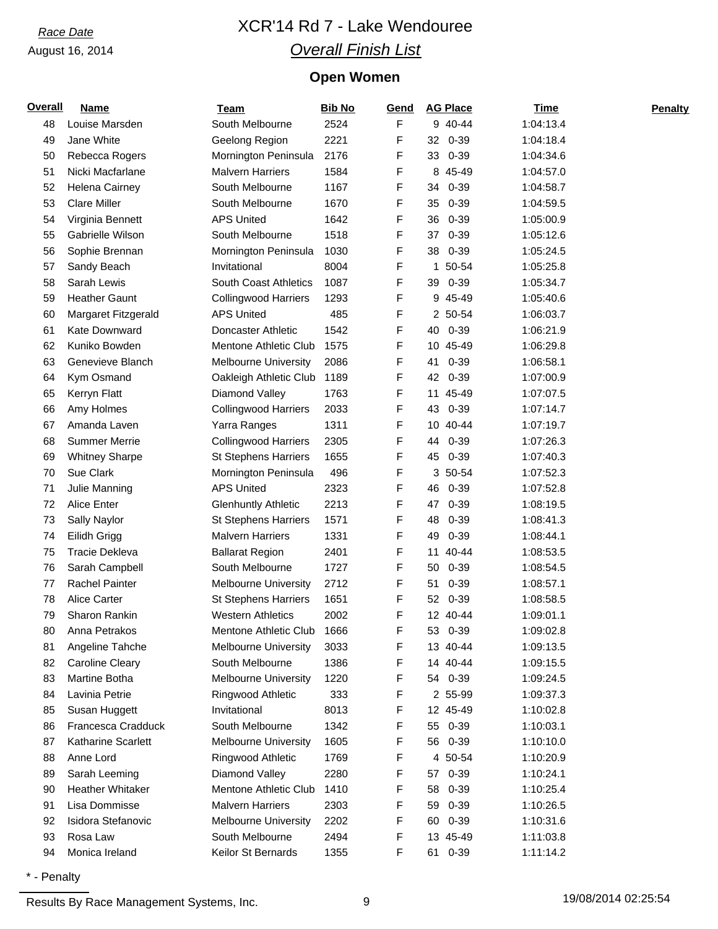# *Race Date* XCR'14 Rd 7 - Lake Wendouree *Overall Finish List*

## **Open Women**

| <b>Overall</b> | <b>Name</b>             | <b>Team</b>                 | <b>Bib No</b> | Gend | <b>AG Place</b> | Time      | <b>Penalty</b> |
|----------------|-------------------------|-----------------------------|---------------|------|-----------------|-----------|----------------|
| 48             | Louise Marsden          | South Melbourne             | 2524          | F    | 9 40-44         | 1:04:13.4 |                |
| 49             | Jane White              | Geelong Region              | 2221          | F    | $0 - 39$<br>32  | 1:04:18.4 |                |
| 50             | Rebecca Rogers          | Mornington Peninsula        | 2176          | F    | $0 - 39$<br>33  | 1:04:34.6 |                |
| 51             | Nicki Macfarlane        | <b>Malvern Harriers</b>     | 1584          | F    | 8 45-49         | 1:04:57.0 |                |
| 52             | Helena Cairney          | South Melbourne             | 1167          | F    | 34<br>$0 - 39$  | 1:04:58.7 |                |
| 53             | <b>Clare Miller</b>     | South Melbourne             | 1670          | F    | $0 - 39$<br>35  | 1:04:59.5 |                |
| 54             | Virginia Bennett        | <b>APS United</b>           | 1642          | F    | 36<br>$0 - 39$  | 1:05:00.9 |                |
| 55             | Gabrielle Wilson        | South Melbourne             | 1518          | F    | $0 - 39$<br>37  | 1:05:12.6 |                |
| 56             | Sophie Brennan          | Mornington Peninsula        | 1030          | F    | 38<br>$0 - 39$  | 1:05:24.5 |                |
| 57             | Sandy Beach             | Invitational                | 8004          | F    | 50-54<br>1.     | 1:05:25.8 |                |
| 58             | Sarah Lewis             | South Coast Athletics       | 1087          | F    | 0-39<br>39      | 1:05:34.7 |                |
| 59             | <b>Heather Gaunt</b>    | <b>Collingwood Harriers</b> | 1293          | F    | 9 45-49         | 1:05:40.6 |                |
| 60             | Margaret Fitzgerald     | <b>APS United</b>           | 485           | F    | 2 50-54         | 1:06:03.7 |                |
| 61             | Kate Downward           | Doncaster Athletic          | 1542          | F    | 40 0-39         | 1:06:21.9 |                |
| 62             | Kuniko Bowden           | Mentone Athletic Club       | 1575          | F    | 10 45-49        | 1:06:29.8 |                |
| 63             | Genevieve Blanch        | <b>Melbourne University</b> | 2086          | F    | $0 - 39$<br>41  | 1:06:58.1 |                |
| 64             | Kym Osmand              | Oakleigh Athletic Club      | 1189          | F    | 42<br>$0 - 39$  | 1:07:00.9 |                |
| 65             | Kerryn Flatt            | Diamond Valley              | 1763          | F    | 11 45-49        | 1:07:07.5 |                |
| 66             | Amy Holmes              | <b>Collingwood Harriers</b> | 2033          | F    | $0 - 39$<br>43  | 1:07:14.7 |                |
| 67             | Amanda Laven            | Yarra Ranges                | 1311          | F    | 10 40-44        | 1:07:19.7 |                |
| 68             | <b>Summer Merrie</b>    | <b>Collingwood Harriers</b> | 2305          | F    | $0 - 39$<br>44  | 1:07:26.3 |                |
| 69             | <b>Whitney Sharpe</b>   | <b>St Stephens Harriers</b> | 1655          | F    | 45 0-39         | 1:07:40.3 |                |
| 70             | Sue Clark               | Mornington Peninsula        | 496           | F    | 3 50-54         | 1:07:52.3 |                |
| 71             | Julie Manning           | <b>APS United</b>           | 2323          | F    | 46<br>$0 - 39$  | 1:07:52.8 |                |
| 72             | Alice Enter             | <b>Glenhuntly Athletic</b>  | 2213          | F    | 47<br>$0 - 39$  | 1:08:19.5 |                |
| 73             | Sally Naylor            | <b>St Stephens Harriers</b> | 1571          | F    | 48<br>$0 - 39$  | 1:08:41.3 |                |
| 74             | Eilidh Grigg            | <b>Malvern Harriers</b>     | 1331          | F    | 49<br>$0 - 39$  | 1:08:44.1 |                |
| 75             | <b>Tracie Dekleva</b>   | <b>Ballarat Region</b>      | 2401          | F    | 40-44<br>11     | 1:08:53.5 |                |
| 76             | Sarah Campbell          | South Melbourne             | 1727          | F    | $0 - 39$<br>50  | 1:08:54.5 |                |
| 77             | <b>Rachel Painter</b>   | <b>Melbourne University</b> | 2712          | F    | $0 - 39$<br>51  | 1:08:57.1 |                |
| 78             | <b>Alice Carter</b>     | <b>St Stephens Harriers</b> | 1651          | F    | $0 - 39$<br>52  | 1:08:58.5 |                |
| 79             | Sharon Rankin           | <b>Western Athletics</b>    | 2002          | F    | 12 40-44        | 1:09:01.1 |                |
| 80             | Anna Petrakos           | Mentone Athletic Club       | 1666          | F    | 53 0-39         | 1:09:02.8 |                |
| 81             | Angeline Tahche         | <b>Melbourne University</b> | 3033          | F    | 13 40-44        | 1:09:13.5 |                |
| 82             | <b>Caroline Cleary</b>  | South Melbourne             | 1386          | F    | 14 40-44        | 1:09:15.5 |                |
| 83             | Martine Botha           | <b>Melbourne University</b> | 1220          | F    | 54 0-39         | 1:09:24.5 |                |
| 84             | Lavinia Petrie          | Ringwood Athletic           | 333           | F    | 2 55-99         | 1:09:37.3 |                |
| 85             | Susan Huggett           | Invitational                | 8013          | F    | 12 45-49        | 1:10:02.8 |                |
| 86             | Francesca Cradduck      | South Melbourne             | 1342          | F    | 55 0-39         | 1:10:03.1 |                |
| 87             | Katharine Scarlett      | <b>Melbourne University</b> | 1605          | F    | 56 0-39         | 1:10:10.0 |                |
| 88             | Anne Lord               | Ringwood Athletic           | 1769          | F    | 4 50-54         | 1:10:20.9 |                |
| 89             | Sarah Leeming           | Diamond Valley              | 2280          | F    | 57 0-39         | 1:10:24.1 |                |
| 90             | <b>Heather Whitaker</b> | Mentone Athletic Club       | 1410          | F    | $0 - 39$<br>58  | 1:10:25.4 |                |
| 91             | Lisa Dommisse           | <b>Malvern Harriers</b>     | 2303          | F    | $0 - 39$<br>59  | 1:10:26.5 |                |
| 92             | Isidora Stefanovic      | <b>Melbourne University</b> | 2202          | F    | 60 0-39         | 1:10:31.6 |                |
| 93             | Rosa Law                | South Melbourne             | 2494          | F    | 13 45-49        | 1:11:03.8 |                |
| 94             | Monica Ireland          | Keilor St Bernards          | 1355          | F    | 61 0-39         | 1:11:14.2 |                |
|                |                         |                             |               |      |                 |           |                |

\* - Penalty

Results By Race Management Systems, Inc. 2012 19/08/2014 19/08/2014 19/08/2014 19/08/2014 19:25:54